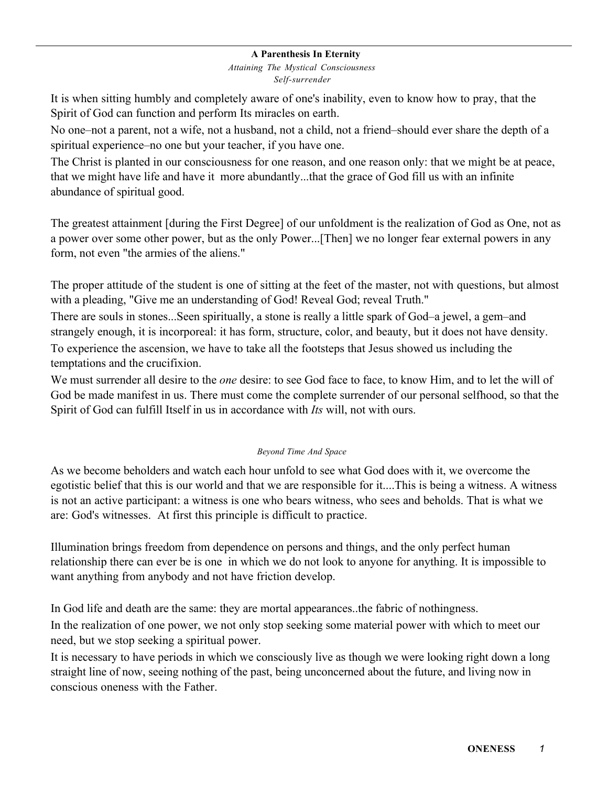#### A Parenthesis In Eternity

*Attaining The Mystical Consciousness Self-surrender*

It is when sitting humbly and completely aware of one's inability, even to know how to pray, that the Spirit of God can function and perform Its miracles on earth.

No one–not a parent, not a wife, not a husband, not a child, not a friend–should ever share the depth of a spiritual experience–no one but your teacher, if you have one.

The Christ is planted in our consciousness for one reason, and one reason only: that we might be at peace, that we might have life and have it more abundantly...that the grace of God fill us with an infinite abundance of spiritual good.

The greatest attainment [during the First Degree] of our unfoldment is the realization of God as One, not as a power over some other power, but as the only Power...[Then] we no longer fear external powers in any form, not even "the armies of the aliens."

The proper attitude of the student is one of sitting at the feet of the master, not with questions, but almost with a pleading, "Give me an understanding of God! Reveal God; reveal Truth."

There are souls in stones...Seen spiritually, a stone is really a little spark of God–a jewel, a gem–and strangely enough, it is incorporeal: it has form, structure, color, and beauty, but it does not have density. To experience the ascension, we have to take all the footsteps that Jesus showed us including the temptations and the crucifixion.

We must surrender all desire to the *one* desire: to see God face to face, to know Him, and to let the will of God be made manifest in us. There must come the complete surrender of our personal selfhood, so that the Spirit of God can fulfill Itself in us in accordance with *Its* will, not with ours.

#### *Beyond Time And Space*

As we become beholders and watch each hour unfold to see what God does with it, we overcome the egotistic belief that this is our world and that we are responsible for it....This is being a witness. A witness is not an active participant: a witness is one who bears witness, who sees and beholds. That is what we are: God's witnesses. At first this principle is difficult to practice.

Illumination brings freedom from dependence on persons and things, and the only perfect human relationship there can ever be is one in which we do not look to anyone for anything. It is impossible to want anything from anybody and not have friction develop.

In God life and death are the same: they are mortal appearances..the fabric of nothingness. In the realization of one power, we not only stop seeking some material power with which to meet our need, but we stop seeking a spiritual power.

It is necessary to have periods in which we consciously live as though we were looking right down a long straight line of now, seeing nothing of the past, being unconcerned about the future, and living now in conscious oneness with the Father.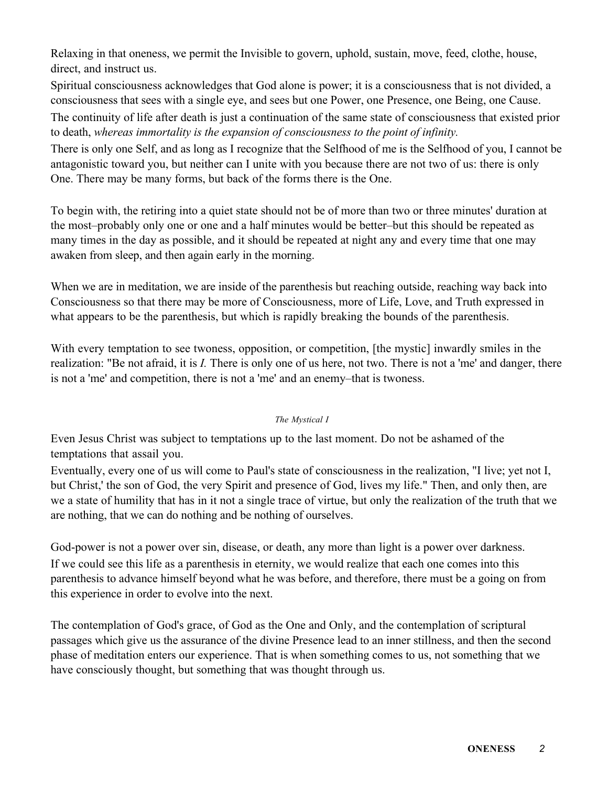Relaxing in that oneness, we permit the Invisible to govern, uphold, sustain, move, feed, clothe, house, direct, and instruct us.

Spiritual consciousness acknowledges that God alone is power; it is a consciousness that is not divided, a consciousness that sees with a single eye, and sees but one Power, one Presence, one Being, one Cause. The continuity of life after death is just a continuation of the same state of consciousness that existed prior to death, *whereas immortality is the expansion of consciousness to the point of infinity.*

There is only one Self, and as long as I recognize that the Selfhood of me is the Selfhood of you, I cannot be antagonistic toward you, but neither can I unite with you because there are not two of us: there is only One. There may be many forms, but back of the forms there is the One.

To begin with, the retiring into a quiet state should not be of more than two or three minutes' duration at the most–probably only one or one and a half minutes would be better–but this should be repeated as many times in the day as possible, and it should be repeated at night any and every time that one may awaken from sleep, and then again early in the morning.

When we are in meditation, we are inside of the parenthesis but reaching outside, reaching way back into Consciousness so that there may be more of Consciousness, more of Life, Love, and Truth expressed in what appears to be the parenthesis, but which is rapidly breaking the bounds of the parenthesis.

With every temptation to see twoness, opposition, or competition, [the mystic] inwardly smiles in the realization: "Be not afraid, it is *I.* There is only one of us here, not two. There is not a 'me' and danger, there is not a 'me' and competition, there is not a 'me' and an enemy–that is twoness.

# *The Mystical I*

Even Jesus Christ was subject to temptations up to the last moment. Do not be ashamed of the temptations that assail you.

Eventually, every one of us will come to Paul's state of consciousness in the realization, "I live; yet not I, but Christ,' the son of God, the very Spirit and presence of God, lives my life." Then, and only then, are we a state of humility that has in it not a single trace of virtue, but only the realization of the truth that we are nothing, that we can do nothing and be nothing of ourselves.

God-power is not a power over sin, disease, or death, any more than light is a power over darkness. If we could see this life as a parenthesis in eternity, we would realize that each one comes into this parenthesis to advance himself beyond what he was before, and therefore, there must be a going on from this experience in order to evolve into the next.

The contemplation of God's grace, of God as the One and Only, and the contemplation of scriptural passages which give us the assurance of the divine Presence lead to an inner stillness, and then the second phase of meditation enters our experience. That is when something comes to us, not something that we have consciously thought, but something that was thought through us.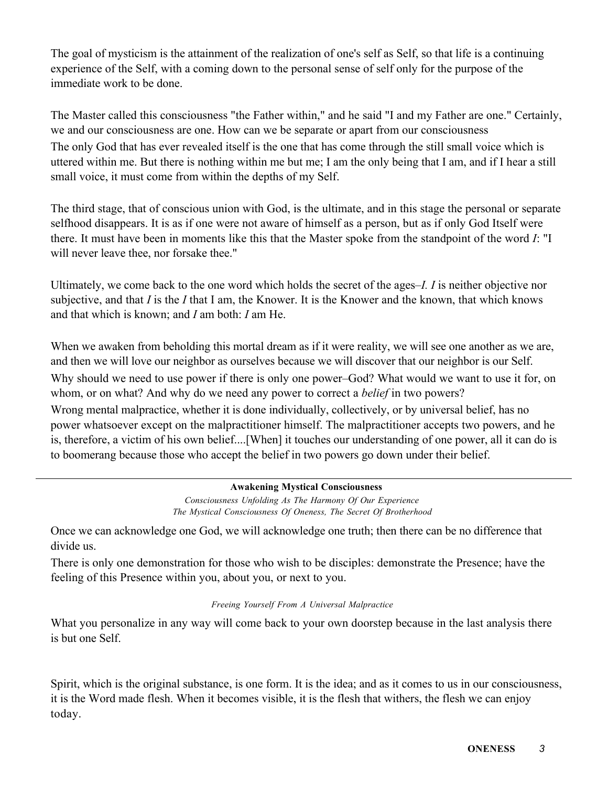The goal of mysticism is the attainment of the realization of one's self as Self, so that life is a continuing experience of the Self, with a coming down to the personal sense of self only for the purpose of the immediate work to be done.

The Master called this consciousness "the Father within," and he said "I and my Father are one." Certainly, we and our consciousness are one. How can we be separate or apart from our consciousness The only God that has ever revealed itself is the one that has come through the still small voice which is uttered within me. But there is nothing within me but me; I am the only being that I am, and if I hear a still small voice, it must come from within the depths of my Self.

The third stage, that of conscious union with God, is the ultimate, and in this stage the personal or separate selfhood disappears. It is as if one were not aware of himself as a person, but as if only God Itself were there. It must have been in moments like this that the Master spoke from the standpoint of the word *I*: "I will never leave thee, nor forsake thee."

Ultimately, we come back to the one word which holds the secret of the ages–*I. I* is neither objective nor subjective, and that *I* is the *I* that I am, the Knower. It is the Knower and the known, that which knows and that which is known; and *I* am both: *I* am He.

When we awaken from beholding this mortal dream as if it were reality, we will see one another as we are, and then we will love our neighbor as ourselves because we will discover that our neighbor is our Self. Why should we need to use power if there is only one power–God? What would we want to use it for, on whom, or on what? And why do we need any power to correct a *belief* in two powers? Wrong mental malpractice, whether it is done individually, collectively, or by universal belief, has no

power whatsoever except on the malpractitioner himself. The malpractitioner accepts two powers, and he is, therefore, a victim of his own belief....[When] it touches our understanding of one power, all it can do is to boomerang because those who accept the belief in two powers go down under their belief.

# Awakening Mystical Consciousness

*Consciousness Unfolding As The Harmony Of Our Experience The Mystical Consciousness Of Oneness, The Secret Of Brotherhood*

Once we can acknowledge one God, we will acknowledge one truth; then there can be no difference that divide us.

There is only one demonstration for those who wish to be disciples: demonstrate the Presence; have the feeling of this Presence within you, about you, or next to you.

#### *Freeing Yourself From A Universal Malpractice*

What you personalize in any way will come back to your own doorstep because in the last analysis there is but one Self.

Spirit, which is the original substance, is one form. It is the idea; and as it comes to us in our consciousness, it is the Word made flesh. When it becomes visible, it is the flesh that withers, the flesh we can enjoy today.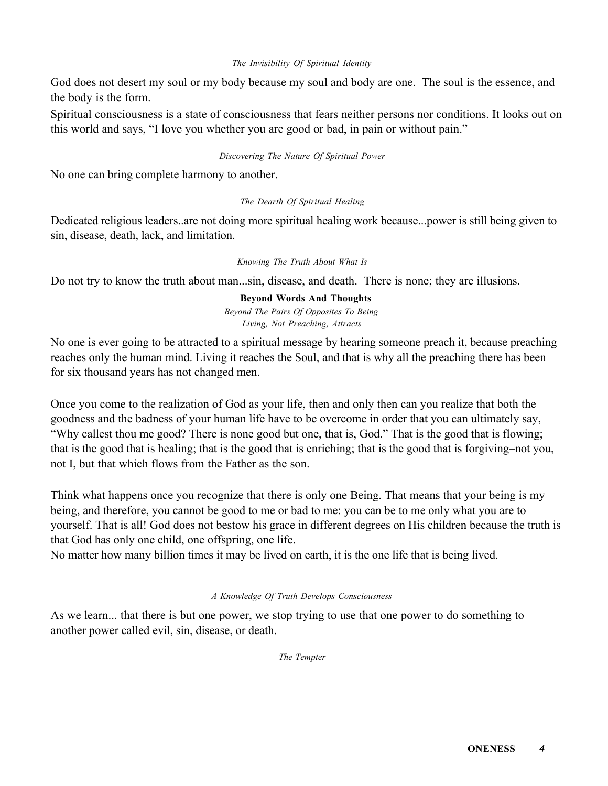#### *The Invisibility Of Spiritual Identity*

God does not desert my soul or my body because my soul and body are one. The soul is the essence, and the body is the form.

Spiritual consciousness is a state of consciousness that fears neither persons nor conditions. It looks out on this world and says, "I love you whether you are good or bad, in pain or without pain."

#### *Discovering The Nature Of Spiritual Power*

No one can bring complete harmony to another.

#### *The Dearth Of Spiritual Healing*

Dedicated religious leaders..are not doing more spiritual healing work because...power is still being given to sin, disease, death, lack, and limitation.

#### *Knowing The Truth About What Is*

Do not try to know the truth about man...sin, disease, and death. There is none; they are illusions.

# Beyond Words And Thoughts

*Beyond The Pairs Of Opposites To Being Living, Not Preaching, Attracts*

No one is ever going to be attracted to a spiritual message by hearing someone preach it, because preaching reaches only the human mind. Living it reaches the Soul, and that is why all the preaching there has been for six thousand years has not changed men.

Once you come to the realization of God as your life, then and only then can you realize that both the goodness and the badness of your human life have to be overcome in order that you can ultimately say, "Why callest thou me good? There is none good but one, that is, God." That is the good that is flowing; that is the good that is healing; that is the good that is enriching; that is the good that is forgiving–not you, not I, but that which flows from the Father as the son.

Think what happens once you recognize that there is only one Being. That means that your being is my being, and therefore, you cannot be good to me or bad to me: you can be to me only what you are to yourself. That is all! God does not bestow his grace in different degrees on His children because the truth is that God has only one child, one offspring, one life.

No matter how many billion times it may be lived on earth, it is the one life that is being lived.

#### *A Knowledge Of Truth Develops Consciousness*

As we learn... that there is but one power, we stop trying to use that one power to do something to another power called evil, sin, disease, or death.

*The Tempter*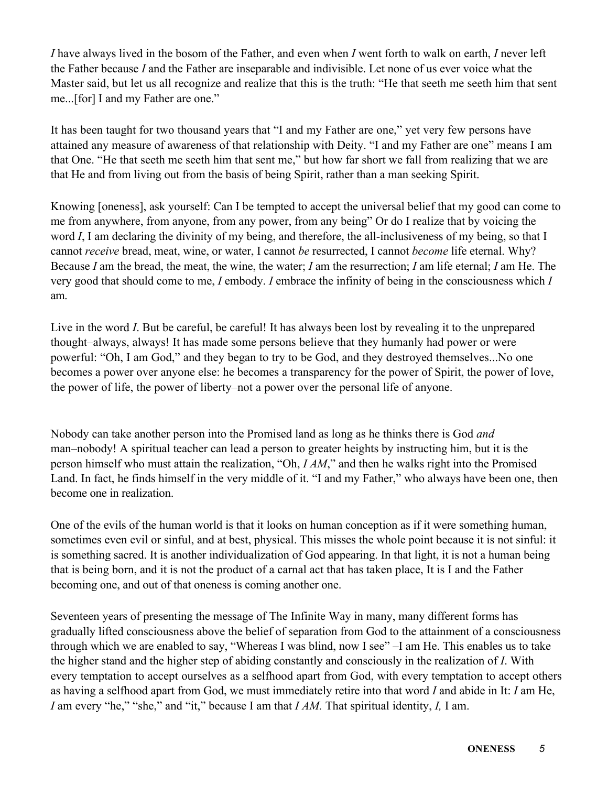*I* have always lived in the bosom of the Father, and even when *I* went forth to walk on earth, *I* never left the Father because *I* and the Father are inseparable and indivisible. Let none of us ever voice what the Master said, but let us all recognize and realize that this is the truth: "He that seeth me seeth him that sent me...[for] I and my Father are one."

It has been taught for two thousand years that "I and my Father are one," yet very few persons have attained any measure of awareness of that relationship with Deity. "I and my Father are one" means I am that One. "He that seeth me seeth him that sent me," but how far short we fall from realizing that we are that He and from living out from the basis of being Spirit, rather than a man seeking Spirit.

Knowing [oneness], ask yourself: Can I be tempted to accept the universal belief that my good can come to me from anywhere, from anyone, from any power, from any being" Or do I realize that by voicing the word *I*, I am declaring the divinity of my being, and therefore, the all-inclusiveness of my being, so that I cannot *receive* bread, meat, wine, or water, I cannot *be* resurrected, I cannot *become* life eternal. Why? Because *I* am the bread, the meat, the wine, the water; *I* am the resurrection; *I* am life eternal; *I* am He. The very good that should come to me, *I* embody. *I* embrace the infinity of being in the consciousness which *I* am.

Live in the word *I*. But be careful, be careful! It has always been lost by revealing it to the unprepared thought–always, always! It has made some persons believe that they humanly had power or were powerful: "Oh, I am God," and they began to try to be God, and they destroyed themselves...No one becomes a power over anyone else: he becomes a transparency for the power of Spirit, the power of love, the power of life, the power of liberty–not a power over the personal life of anyone.

Nobody can take another person into the Promised land as long as he thinks there is God *and* man–nobody! A spiritual teacher can lead a person to greater heights by instructing him, but it is the person himself who must attain the realization, "Oh, *I AM*," and then he walks right into the Promised Land. In fact, he finds himself in the very middle of it. "I and my Father," who always have been one, then become one in realization.

One of the evils of the human world is that it looks on human conception as if it were something human, sometimes even evil or sinful, and at best, physical. This misses the whole point because it is not sinful: it is something sacred. It is another individualization of God appearing. In that light, it is not a human being that is being born, and it is not the product of a carnal act that has taken place, It is I and the Father becoming one, and out of that oneness is coming another one.

Seventeen years of presenting the message of The Infinite Way in many, many different forms has gradually lifted consciousness above the belief of separation from God to the attainment of a consciousness through which we are enabled to say, "Whereas I was blind, now I see" –I am He. This enables us to take the higher stand and the higher step of abiding constantly and consciously in the realization of *I*. With every temptation to accept ourselves as a selfhood apart from God, with every temptation to accept others as having a selfhood apart from God, we must immediately retire into that word *I* and abide in It: *I* am He, *I* am every "he," "she," and "it," because I am that *I AM.* That spiritual identity, *I,* I am.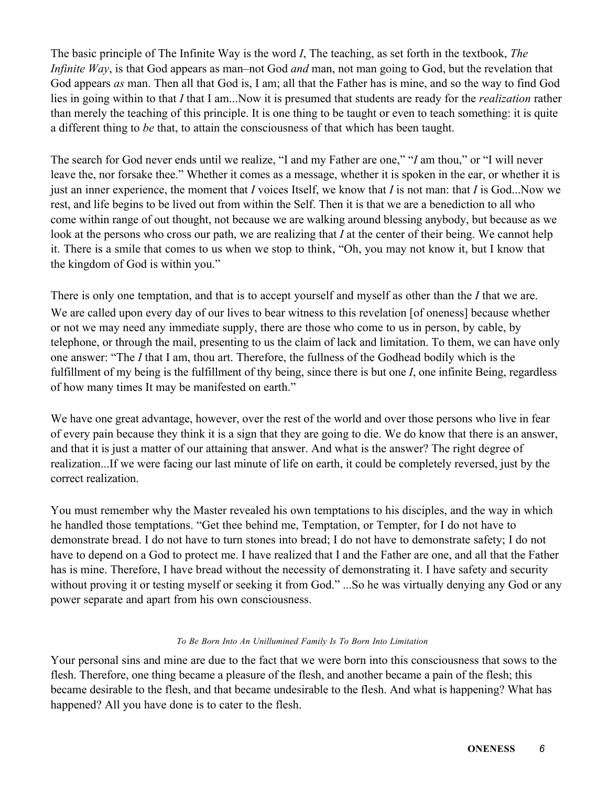The basic principle of The Infinite Way is the word *I*, The teaching, as set forth in the textbook, *The Infinite Way*, is that God appears as man–not God *and* man, not man going to God, but the revelation that God appears *as* man. Then all that God is, I am; all that the Father has is mine, and so the way to find God lies in going within to that *I* that I am...Now it is presumed that students are ready for the *realization* rather than merely the teaching of this principle. It is one thing to be taught or even to teach something: it is quite a different thing to *be* that, to attain the consciousness of that which has been taught.

The search for God never ends until we realize, "I and my Father are one," "*I* am thou," or "I will never leave the, nor forsake thee." Whether it comes as a message, whether it is spoken in the ear, or whether it is just an inner experience, the moment that *I* voices Itself, we know that *I* is not man: that *I* is God...Now we rest, and life begins to be lived out from within the Self. Then it is that we are a benediction to all who come within range of out thought, not because we are walking around blessing anybody, but because as we look at the persons who cross our path, we are realizing that *I* at the center of their being. We cannot help it. There is a smile that comes to us when we stop to think, "Oh, you may not know it, but I know that the kingdom of God is within you."

There is only one temptation, and that is to accept yourself and myself as other than the *I* that we are. We are called upon every day of our lives to bear witness to this revelation [of oneness] because whether or not we may need any immediate supply, there are those who come to us in person, by cable, by telephone, or through the mail, presenting to us the claim of lack and limitation. To them, we can have only one answer: "The *I* that I am, thou art. Therefore, the fullness of the Godhead bodily which is the fulfillment of my being is the fulfillment of thy being, since there is but one *I*, one infinite Being, regardless of how many times It may be manifested on earth."

We have one great advantage, however, over the rest of the world and over those persons who live in fear of every pain because they think it is a sign that they are going to die. We do know that there is an answer, and that it is just a matter of our attaining that answer. And what is the answer? The right degree of realization...If we were facing our last minute of life on earth, it could be completely reversed, just by the correct realization.

You must remember why the Master revealed his own temptations to his disciples, and the way in which he handled those temptations. "Get thee behind me, Temptation, or Tempter, for I do not have to demonstrate bread. I do not have to turn stones into bread; I do not have to demonstrate safety; I do not have to depend on a God to protect me. I have realized that I and the Father are one, and all that the Father has is mine. Therefore, I have bread without the necessity of demonstrating it. I have safety and security without proving it or testing myself or seeking it from God." ...So he was virtually denying any God or any power separate and apart from his own consciousness.

#### *To Be Born Into An Unillumined Family Is To Born Into Limitation*

Your personal sins and mine are due to the fact that we were born into this consciousness that sows to the flesh. Therefore, one thing became a pleasure of the flesh, and another became a pain of the flesh; this became desirable to the flesh, and that became undesirable to the flesh. And what is happening? What has happened? All you have done is to cater to the flesh.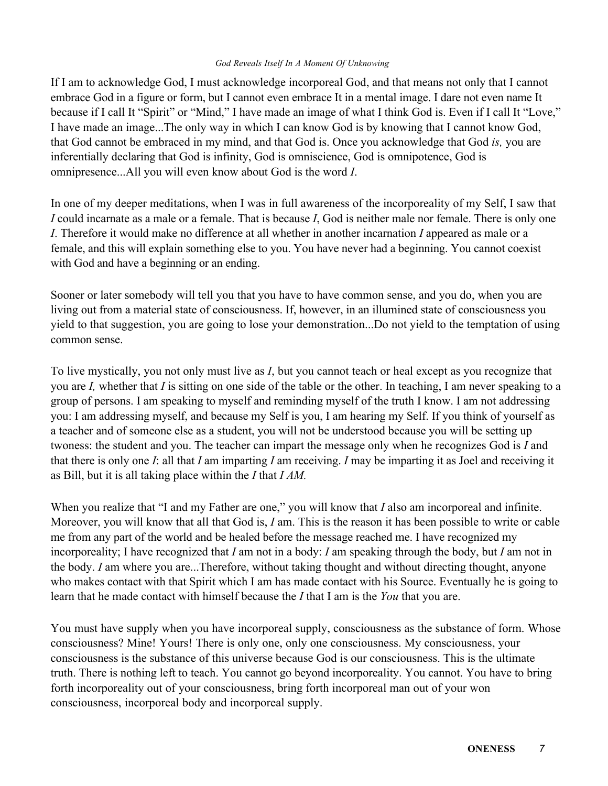#### *God Reveals Itself In A Moment Of Unknowing*

If I am to acknowledge God, I must acknowledge incorporeal God, and that means not only that I cannot embrace God in a figure or form, but I cannot even embrace It in a mental image. I dare not even name It because if I call It "Spirit" or "Mind," I have made an image of what I think God is. Even if I call It "Love," I have made an image...The only way in which I can know God is by knowing that I cannot know God, that God cannot be embraced in my mind, and that God is. Once you acknowledge that God *is,* you are inferentially declaring that God is infinity, God is omniscience, God is omnipotence, God is omnipresence...All you will even know about God is the word *I*.

In one of my deeper meditations, when I was in full awareness of the incorporeality of my Self, I saw that *I* could incarnate as a male or a female. That is because *I*, God is neither male nor female. There is only one *I*. Therefore it would make no difference at all whether in another incarnation *I* appeared as male or a female, and this will explain something else to you. You have never had a beginning. You cannot coexist with God and have a beginning or an ending.

Sooner or later somebody will tell you that you have to have common sense, and you do, when you are living out from a material state of consciousness. If, however, in an illumined state of consciousness you yield to that suggestion, you are going to lose your demonstration...Do not yield to the temptation of using common sense.

To live mystically, you not only must live as *I*, but you cannot teach or heal except as you recognize that you are *I,* whether that *I* is sitting on one side of the table or the other. In teaching, I am never speaking to a group of persons. I am speaking to myself and reminding myself of the truth I know. I am not addressing you: I am addressing myself, and because my Self is you, I am hearing my Self. If you think of yourself as a teacher and of someone else as a student, you will not be understood because you will be setting up twoness: the student and you. The teacher can impart the message only when he recognizes God is *I* and that there is only one *I*: all that *I* am imparting *I* am receiving. *I* may be imparting it as Joel and receiving it as Bill, but it is all taking place within the *I* that *I AM.*

When you realize that "I and my Father are one," you will know that *I* also am incorporeal and infinite. Moreover, you will know that all that God is, *I* am. This is the reason it has been possible to write or cable me from any part of the world and be healed before the message reached me. I have recognized my incorporeality; I have recognized that *I* am not in a body: *I* am speaking through the body, but *I* am not in the body. *I* am where you are...Therefore, without taking thought and without directing thought, anyone who makes contact with that Spirit which I am has made contact with his Source. Eventually he is going to learn that he made contact with himself because the *I* that I am is the *You* that you are.

You must have supply when you have incorporeal supply, consciousness as the substance of form. Whose consciousness? Mine! Yours! There is only one, only one consciousness. My consciousness, your consciousness is the substance of this universe because God is our consciousness. This is the ultimate truth. There is nothing left to teach. You cannot go beyond incorporeality. You cannot. You have to bring forth incorporeality out of your consciousness, bring forth incorporeal man out of your won consciousness, incorporeal body and incorporeal supply.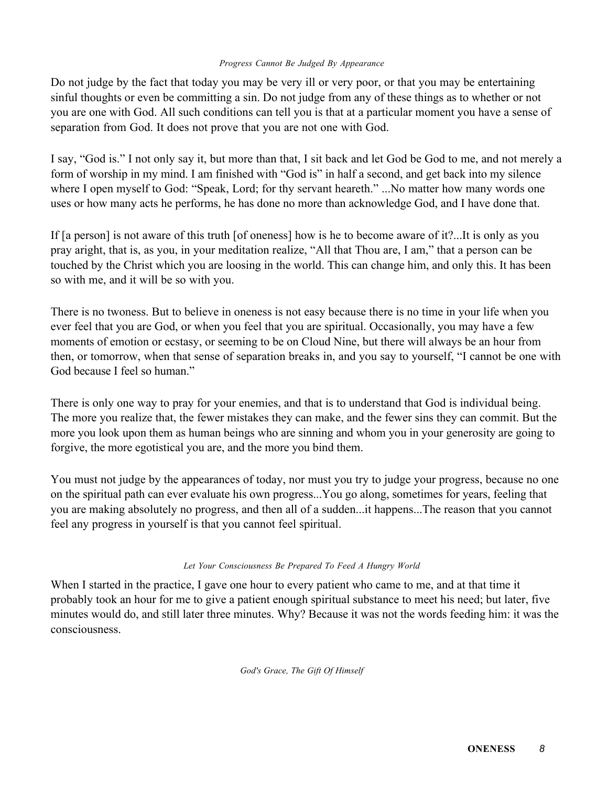#### *Progress Cannot Be Judged By Appearance*

Do not judge by the fact that today you may be very ill or very poor, or that you may be entertaining sinful thoughts or even be committing a sin. Do not judge from any of these things as to whether or not you are one with God. All such conditions can tell you is that at a particular moment you have a sense of separation from God. It does not prove that you are not one with God.

I say, "God is." I not only say it, but more than that, I sit back and let God be God to me, and not merely a form of worship in my mind. I am finished with "God is" in half a second, and get back into my silence where I open myself to God: "Speak, Lord; for thy servant heareth." ...No matter how many words one uses or how many acts he performs, he has done no more than acknowledge God, and I have done that.

If [a person] is not aware of this truth [of oneness] how is he to become aware of it?...It is only as you pray aright, that is, as you, in your meditation realize, "All that Thou are, I am," that a person can be touched by the Christ which you are loosing in the world. This can change him, and only this. It has been so with me, and it will be so with you.

There is no twoness. But to believe in oneness is not easy because there is no time in your life when you ever feel that you are God, or when you feel that you are spiritual. Occasionally, you may have a few moments of emotion or ecstasy, or seeming to be on Cloud Nine, but there will always be an hour from then, or tomorrow, when that sense of separation breaks in, and you say to yourself, "I cannot be one with God because I feel so human."

There is only one way to pray for your enemies, and that is to understand that God is individual being. The more you realize that, the fewer mistakes they can make, and the fewer sins they can commit. But the more you look upon them as human beings who are sinning and whom you in your generosity are going to forgive, the more egotistical you are, and the more you bind them.

You must not judge by the appearances of today, nor must you try to judge your progress, because no one on the spiritual path can ever evaluate his own progress...You go along, sometimes for years, feeling that you are making absolutely no progress, and then all of a sudden...it happens...The reason that you cannot feel any progress in yourself is that you cannot feel spiritual.

#### *Let Your Consciousness Be Prepared To Feed A Hungry World*

When I started in the practice, I gave one hour to every patient who came to me, and at that time it probably took an hour for me to give a patient enough spiritual substance to meet his need; but later, five minutes would do, and still later three minutes. Why? Because it was not the words feeding him: it was the consciousness.

*God's Grace, The Gift Of Himself*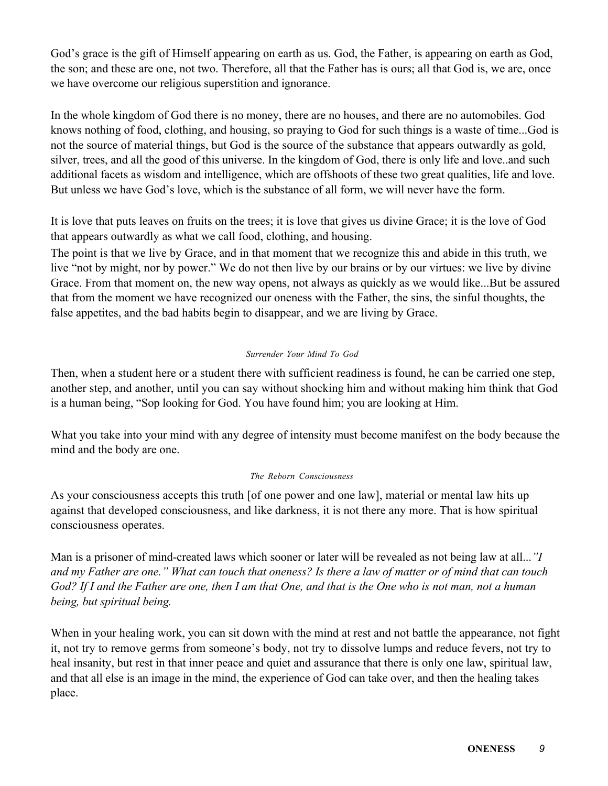God's grace is the gift of Himself appearing on earth as us. God, the Father, is appearing on earth as God, the son; and these are one, not two. Therefore, all that the Father has is ours; all that God is, we are, once we have overcome our religious superstition and ignorance.

In the whole kingdom of God there is no money, there are no houses, and there are no automobiles. God knows nothing of food, clothing, and housing, so praying to God for such things is a waste of time...God is not the source of material things, but God is the source of the substance that appears outwardly as gold, silver, trees, and all the good of this universe. In the kingdom of God, there is only life and love..and such additional facets as wisdom and intelligence, which are offshoots of these two great qualities, life and love. But unless we have God's love, which is the substance of all form, we will never have the form.

It is love that puts leaves on fruits on the trees; it is love that gives us divine Grace; it is the love of God that appears outwardly as what we call food, clothing, and housing.

The point is that we live by Grace, and in that moment that we recognize this and abide in this truth, we live "not by might, nor by power." We do not then live by our brains or by our virtues: we live by divine Grace. From that moment on, the new way opens, not always as quickly as we would like...But be assured that from the moment we have recognized our oneness with the Father, the sins, the sinful thoughts, the false appetites, and the bad habits begin to disappear, and we are living by Grace.

### *Surrender Your Mind To God*

Then, when a student here or a student there with sufficient readiness is found, he can be carried one step, another step, and another, until you can say without shocking him and without making him think that God is a human being, "Sop looking for God. You have found him; you are looking at Him.

What you take into your mind with any degree of intensity must become manifest on the body because the mind and the body are one.

#### *The Reborn Consciousness*

As your consciousness accepts this truth [of one power and one law], material or mental law hits up against that developed consciousness, and like darkness, it is not there any more. That is how spiritual consciousness operates.

Man is a prisoner of mind-created laws which sooner or later will be revealed as not being law at all...*"I and my Father are one." What can touch that oneness? Is there a law of matter or of mind that can touch God? If I and the Father are one, then I am that One, and that is the One who is not man, not a human being, but spiritual being.*

When in your healing work, you can sit down with the mind at rest and not battle the appearance, not fight it, not try to remove germs from someone's body, not try to dissolve lumps and reduce fevers, not try to heal insanity, but rest in that inner peace and quiet and assurance that there is only one law, spiritual law, and that all else is an image in the mind, the experience of God can take over, and then the healing takes place.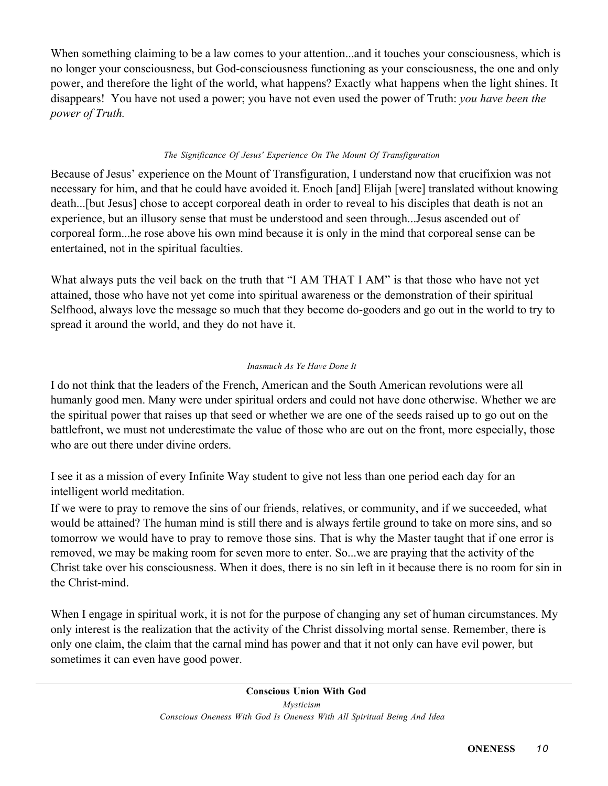When something claiming to be a law comes to your attention...and it touches your consciousness, which is no longer your consciousness, but God-consciousness functioning as your consciousness, the one and only power, and therefore the light of the world, what happens? Exactly what happens when the light shines. It disappears! You have not used a power; you have not even used the power of Truth: *you have been the power of Truth.*

### *The Significance Of Jesus' Experience On The Mount Of Transfiguration*

Because of Jesus' experience on the Mount of Transfiguration, I understand now that crucifixion was not necessary for him, and that he could have avoided it. Enoch [and] Elijah [were] translated without knowing death...[but Jesus] chose to accept corporeal death in order to reveal to his disciples that death is not an experience, but an illusory sense that must be understood and seen through...Jesus ascended out of corporeal form...he rose above his own mind because it is only in the mind that corporeal sense can be entertained, not in the spiritual faculties.

What always puts the veil back on the truth that "I AM THAT I AM" is that those who have not yet attained, those who have not yet come into spiritual awareness or the demonstration of their spiritual Selfhood, always love the message so much that they become do-gooders and go out in the world to try to spread it around the world, and they do not have it.

# *Inasmuch As Ye Have Done It*

I do not think that the leaders of the French, American and the South American revolutions were all humanly good men. Many were under spiritual orders and could not have done otherwise. Whether we are the spiritual power that raises up that seed or whether we are one of the seeds raised up to go out on the battlefront, we must not underestimate the value of those who are out on the front, more especially, those who are out there under divine orders.

I see it as a mission of every Infinite Way student to give not less than one period each day for an intelligent world meditation.

If we were to pray to remove the sins of our friends, relatives, or community, and if we succeeded, what would be attained? The human mind is still there and is always fertile ground to take on more sins, and so tomorrow we would have to pray to remove those sins. That is why the Master taught that if one error is removed, we may be making room for seven more to enter. So...we are praying that the activity of the Christ take over his consciousness. When it does, there is no sin left in it because there is no room for sin in the Christ-mind.

When I engage in spiritual work, it is not for the purpose of changing any set of human circumstances. My only interest is the realization that the activity of the Christ dissolving mortal sense. Remember, there is only one claim, the claim that the carnal mind has power and that it not only can have evil power, but sometimes it can even have good power.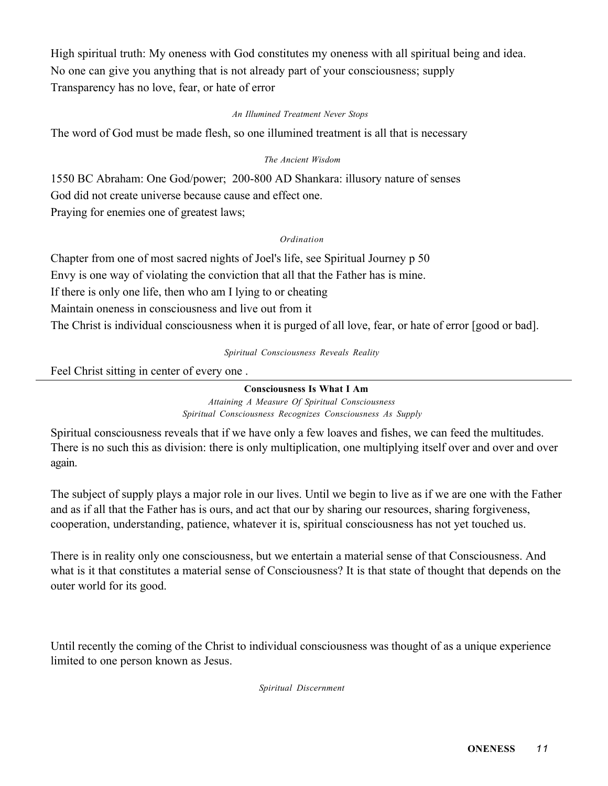High spiritual truth: My oneness with God constitutes my oneness with all spiritual being and idea. No one can give you anything that is not already part of your consciousness; supply Transparency has no love, fear, or hate of error

#### *An Illumined Treatment Never Stops*

The word of God must be made flesh, so one illumined treatment is all that is necessary

# *The Ancient Wisdom*

1550 BC Abraham: One God/power; 200-800 AD Shankara: illusory nature of senses God did not create universe because cause and effect one. Praying for enemies one of greatest laws;

### *Ordination*

Chapter from one of most sacred nights of Joel's life, see Spiritual Journey p 50 Envy is one way of violating the conviction that all that the Father has is mine. If there is only one life, then who am I lying to or cheating Maintain oneness in consciousness and live out from it The Christ is individual consciousness when it is purged of all love, fear, or hate of error [good or bad].

*Spiritual Consciousness Reveals Reality*

Feel Christ sitting in center of every one .

# Consciousness Is What I Am

*Attaining A Measure Of Spiritual Consciousness Spiritual Consciousness Recognizes Consciousness As Supply*

Spiritual consciousness reveals that if we have only a few loaves and fishes, we can feed the multitudes. There is no such this as division: there is only multiplication, one multiplying itself over and over and over again.

The subject of supply plays a major role in our lives. Until we begin to live as if we are one with the Father and as if all that the Father has is ours, and act that our by sharing our resources, sharing forgiveness, cooperation, understanding, patience, whatever it is, spiritual consciousness has not yet touched us.

There is in reality only one consciousness, but we entertain a material sense of that Consciousness. And what is it that constitutes a material sense of Consciousness? It is that state of thought that depends on the outer world for its good.

Until recently the coming of the Christ to individual consciousness was thought of as a unique experience limited to one person known as Jesus.

*Spiritual Discernment*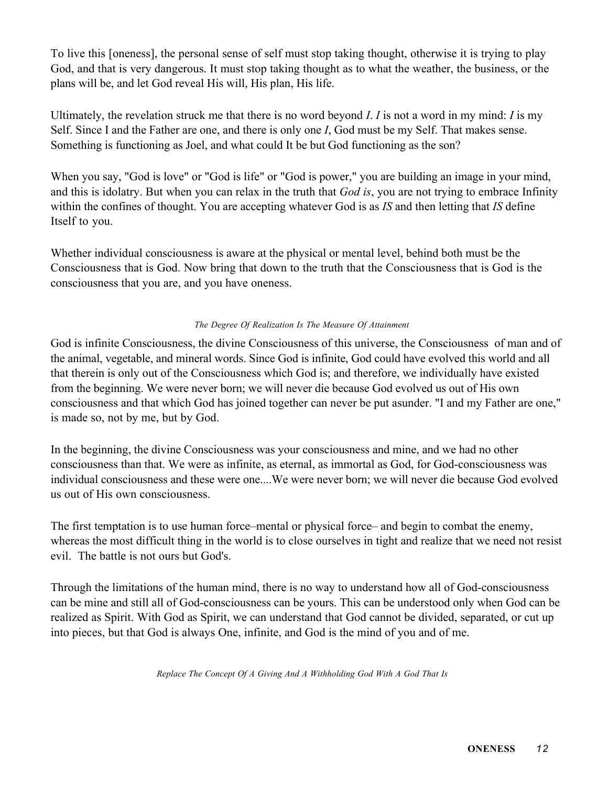To live this [oneness], the personal sense of self must stop taking thought, otherwise it is trying to play God, and that is very dangerous. It must stop taking thought as to what the weather, the business, or the plans will be, and let God reveal His will, His plan, His life.

Ultimately, the revelation struck me that there is no word beyond *I*. *I* is not a word in my mind: *I* is my Self. Since I and the Father are one, and there is only one *I*, God must be my Self. That makes sense. Something is functioning as Joel, and what could It be but God functioning as the son?

When you say, "God is love" or "God is life" or "God is power," you are building an image in your mind, and this is idolatry. But when you can relax in the truth that *God is*, you are not trying to embrace Infinity within the confines of thought. You are accepting whatever God is as *IS* and then letting that *IS* define Itself to you.

Whether individual consciousness is aware at the physical or mental level, behind both must be the Consciousness that is God. Now bring that down to the truth that the Consciousness that is God is the consciousness that you are, and you have oneness.

# *The Degree Of Realization Is The Measure Of Attainment*

God is infinite Consciousness, the divine Consciousness of this universe, the Consciousness of man and of the animal, vegetable, and mineral words. Since God is infinite, God could have evolved this world and all that therein is only out of the Consciousness which God is; and therefore, we individually have existed from the beginning. We were never born; we will never die because God evolved us out of His own consciousness and that which God has joined together can never be put asunder. "I and my Father are one," is made so, not by me, but by God.

In the beginning, the divine Consciousness was your consciousness and mine, and we had no other consciousness than that. We were as infinite, as eternal, as immortal as God, for God-consciousness was individual consciousness and these were one....We were never born; we will never die because God evolved us out of His own consciousness.

The first temptation is to use human force–mental or physical force– and begin to combat the enemy, whereas the most difficult thing in the world is to close ourselves in tight and realize that we need not resist evil. The battle is not ours but God's.

Through the limitations of the human mind, there is no way to understand how all of God-consciousness can be mine and still all of God-consciousness can be yours. This can be understood only when God can be realized as Spirit. With God as Spirit, we can understand that God cannot be divided, separated, or cut up into pieces, but that God is always One, infinite, and God is the mind of you and of me.

*Replace The Concept Of A Giving And A Withholding God With A God That Is*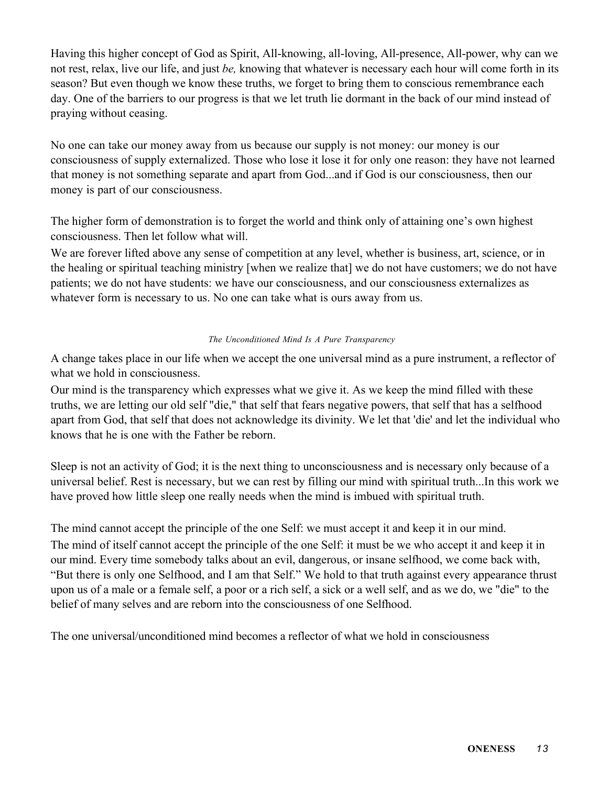Having this higher concept of God as Spirit, All-knowing, all-loving, All-presence, All-power, why can we not rest, relax, live our life, and just *be,* knowing that whatever is necessary each hour will come forth in its season? But even though we know these truths, we forget to bring them to conscious remembrance each day. One of the barriers to our progress is that we let truth lie dormant in the back of our mind instead of praying without ceasing.

No one can take our money away from us because our supply is not money: our money is our consciousness of supply externalized. Those who lose it lose it for only one reason: they have not learned that money is not something separate and apart from God...and if God is our consciousness, then our money is part of our consciousness.

The higher form of demonstration is to forget the world and think only of attaining one's own highest consciousness. Then let follow what will.

We are forever lifted above any sense of competition at any level, whether is business, art, science, or in the healing or spiritual teaching ministry [when we realize that] we do not have customers; we do not have patients; we do not have students: we have our consciousness, and our consciousness externalizes as whatever form is necessary to us. No one can take what is ours away from us.

# *The Unconditioned Mind Is A Pure Transparency*

A change takes place in our life when we accept the one universal mind as a pure instrument, a reflector of what we hold in consciousness.

Our mind is the transparency which expresses what we give it. As we keep the mind filled with these truths, we are letting our old self "die," that self that fears negative powers, that self that has a selfhood apart from God, that self that does not acknowledge its divinity. We let that 'die' and let the individual who knows that he is one with the Father be reborn.

Sleep is not an activity of God; it is the next thing to unconsciousness and is necessary only because of a universal belief. Rest is necessary, but we can rest by filling our mind with spiritual truth...In this work we have proved how little sleep one really needs when the mind is imbued with spiritual truth.

The mind cannot accept the principle of the one Self: we must accept it and keep it in our mind. The mind of itself cannot accept the principle of the one Self: it must be we who accept it and keep it in our mind. Every time somebody talks about an evil, dangerous, or insane selfhood, we come back with, "But there is only one Selfhood, and I am that Self." We hold to that truth against every appearance thrust upon us of a male or a female self, a poor or a rich self, a sick or a well self, and as we do, we "die" to the belief of many selves and are reborn into the consciousness of one Selfhood.

The one universal/unconditioned mind becomes a reflector of what we hold in consciousness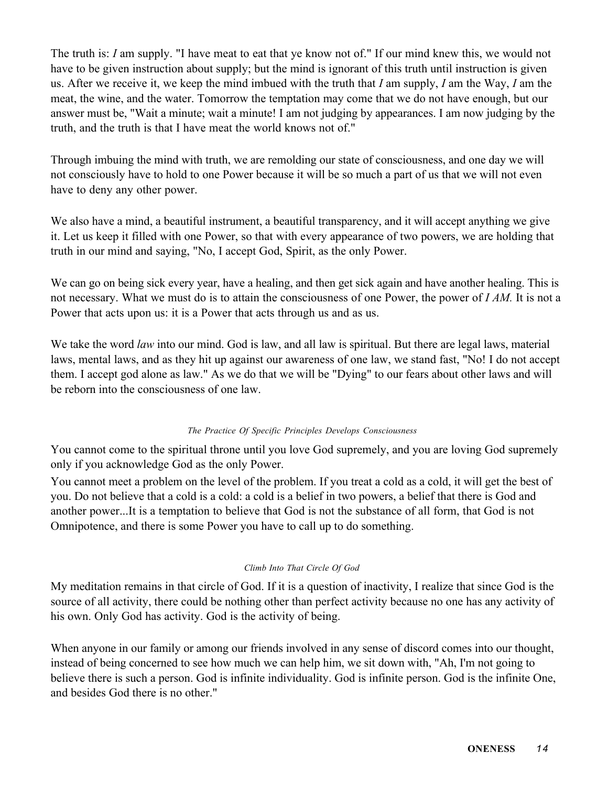The truth is: *I* am supply. "I have meat to eat that ye know not of." If our mind knew this, we would not have to be given instruction about supply; but the mind is ignorant of this truth until instruction is given us. After we receive it, we keep the mind imbued with the truth that *I* am supply, *I* am the Way, *I* am the meat, the wine, and the water. Tomorrow the temptation may come that we do not have enough, but our answer must be, "Wait a minute; wait a minute! I am not judging by appearances. I am now judging by the truth, and the truth is that I have meat the world knows not of."

Through imbuing the mind with truth, we are remolding our state of consciousness, and one day we will not consciously have to hold to one Power because it will be so much a part of us that we will not even have to deny any other power.

We also have a mind, a beautiful instrument, a beautiful transparency, and it will accept anything we give it. Let us keep it filled with one Power, so that with every appearance of two powers, we are holding that truth in our mind and saying, "No, I accept God, Spirit, as the only Power.

We can go on being sick every year, have a healing, and then get sick again and have another healing. This is not necessary. What we must do is to attain the consciousness of one Power, the power of *I AM.* It is not a Power that acts upon us: it is a Power that acts through us and as us.

We take the word *law* into our mind. God is law, and all law is spiritual. But there are legal laws, material laws, mental laws, and as they hit up against our awareness of one law, we stand fast, "No! I do not accept them. I accept god alone as law." As we do that we will be "Dying" to our fears about other laws and will be reborn into the consciousness of one law.

# *The Practice Of Specific Principles Develops Consciousness*

You cannot come to the spiritual throne until you love God supremely, and you are loving God supremely only if you acknowledge God as the only Power.

You cannot meet a problem on the level of the problem. If you treat a cold as a cold, it will get the best of you. Do not believe that a cold is a cold: a cold is a belief in two powers, a belief that there is God and another power...It is a temptation to believe that God is not the substance of all form, that God is not Omnipotence, and there is some Power you have to call up to do something.

# *Climb Into That Circle Of God*

My meditation remains in that circle of God. If it is a question of inactivity, I realize that since God is the source of all activity, there could be nothing other than perfect activity because no one has any activity of his own. Only God has activity. God is the activity of being.

When anyone in our family or among our friends involved in any sense of discord comes into our thought, instead of being concerned to see how much we can help him, we sit down with, "Ah, I'm not going to believe there is such a person. God is infinite individuality. God is infinite person. God is the infinite One, and besides God there is no other."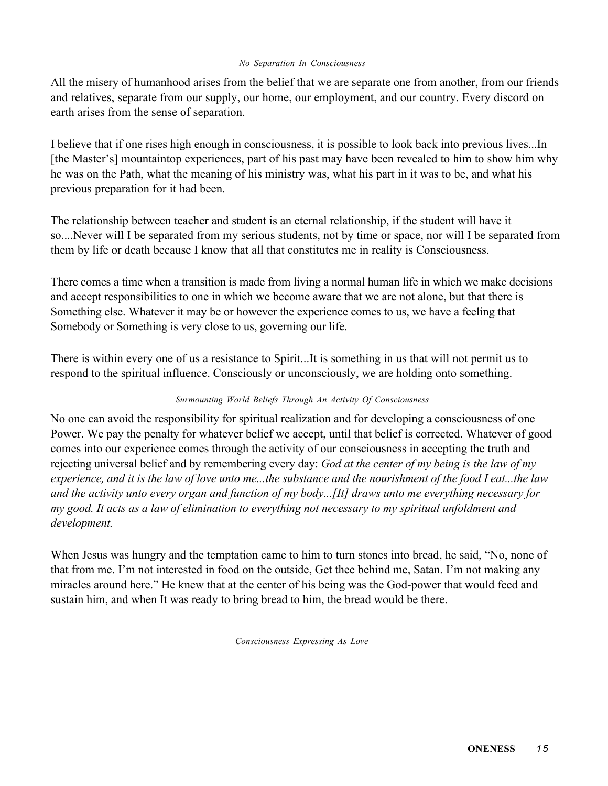#### *No Separation In Consciousness*

All the misery of humanhood arises from the belief that we are separate one from another, from our friends and relatives, separate from our supply, our home, our employment, and our country. Every discord on earth arises from the sense of separation.

I believe that if one rises high enough in consciousness, it is possible to look back into previous lives...In [the Master's] mountaintop experiences, part of his past may have been revealed to him to show him why he was on the Path, what the meaning of his ministry was, what his part in it was to be, and what his previous preparation for it had been.

The relationship between teacher and student is an eternal relationship, if the student will have it so....Never will I be separated from my serious students, not by time or space, nor will I be separated from them by life or death because I know that all that constitutes me in reality is Consciousness.

There comes a time when a transition is made from living a normal human life in which we make decisions and accept responsibilities to one in which we become aware that we are not alone, but that there is Something else. Whatever it may be or however the experience comes to us, we have a feeling that Somebody or Something is very close to us, governing our life.

There is within every one of us a resistance to Spirit...It is something in us that will not permit us to respond to the spiritual influence. Consciously or unconsciously, we are holding onto something.

# *Surmounting World Beliefs Through An Activity Of Consciousness*

No one can avoid the responsibility for spiritual realization and for developing a consciousness of one Power. We pay the penalty for whatever belief we accept, until that belief is corrected. Whatever of good comes into our experience comes through the activity of our consciousness in accepting the truth and rejecting universal belief and by remembering every day: *God at the center of my being is the law of my experience, and it is the law of love unto me...the substance and the nourishment of the food I eat...the law and the activity unto every organ and function of my body...[It] draws unto me everything necessary for my good. It acts as a law of elimination to everything not necessary to my spiritual unfoldment and development.*

When Jesus was hungry and the temptation came to him to turn stones into bread, he said, "No, none of that from me. I'm not interested in food on the outside, Get thee behind me, Satan. I'm not making any miracles around here." He knew that at the center of his being was the God-power that would feed and sustain him, and when It was ready to bring bread to him, the bread would be there.

*Consciousness Expressing As Love*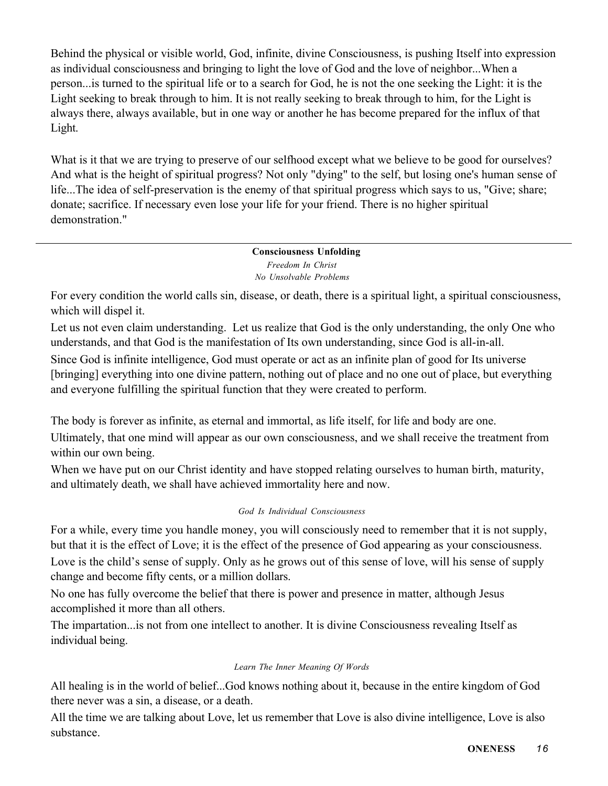Behind the physical or visible world, God, infinite, divine Consciousness, is pushing Itself into expression as individual consciousness and bringing to light the love of God and the love of neighbor...When a person...is turned to the spiritual life or to a search for God, he is not the one seeking the Light: it is the Light seeking to break through to him. It is not really seeking to break through to him, for the Light is always there, always available, but in one way or another he has become prepared for the influx of that Light.

What is it that we are trying to preserve of our selfhood except what we believe to be good for ourselves? And what is the height of spiritual progress? Not only "dying" to the self, but losing one's human sense of life...The idea of self-preservation is the enemy of that spiritual progress which says to us, "Give; share; donate; sacrifice. If necessary even lose your life for your friend. There is no higher spiritual demonstration."

> Consciousness Unfolding *Freedom In Christ No Unsolvable Problems*

For every condition the world calls sin, disease, or death, there is a spiritual light, a spiritual consciousness, which will dispel it.

Let us not even claim understanding. Let us realize that God is the only understanding, the only One who understands, and that God is the manifestation of Its own understanding, since God is all-in-all.

Since God is infinite intelligence, God must operate or act as an infinite plan of good for Its universe [bringing] everything into one divine pattern, nothing out of place and no one out of place, but everything and everyone fulfilling the spiritual function that they were created to perform.

The body is forever as infinite, as eternal and immortal, as life itself, for life and body are one.

Ultimately, that one mind will appear as our own consciousness, and we shall receive the treatment from within our own being.

When we have put on our Christ identity and have stopped relating ourselves to human birth, maturity, and ultimately death, we shall have achieved immortality here and now.

# *God Is Individual Consciousness*

For a while, every time you handle money, you will consciously need to remember that it is not supply, but that it is the effect of Love; it is the effect of the presence of God appearing as your consciousness.

Love is the child's sense of supply. Only as he grows out of this sense of love, will his sense of supply change and become fifty cents, or a million dollars.

No one has fully overcome the belief that there is power and presence in matter, although Jesus accomplished it more than all others.

The impartation...is not from one intellect to another. It is divine Consciousness revealing Itself as individual being.

# *Learn The Inner Meaning Of Words*

All healing is in the world of belief...God knows nothing about it, because in the entire kingdom of God there never was a sin, a disease, or a death.

All the time we are talking about Love, let us remember that Love is also divine intelligence, Love is also substance.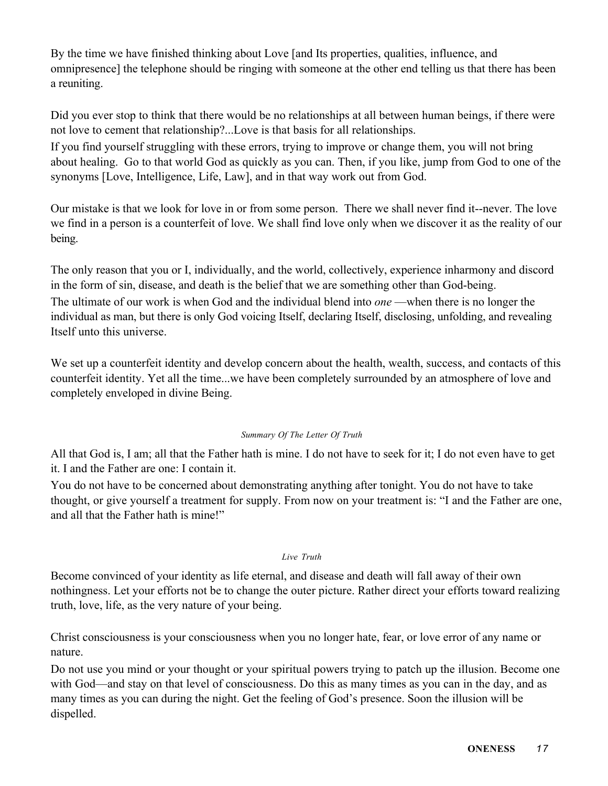By the time we have finished thinking about Love [and Its properties, qualities, influence, and omnipresence] the telephone should be ringing with someone at the other end telling us that there has been a reuniting.

Did you ever stop to think that there would be no relationships at all between human beings, if there were not love to cement that relationship?...Love is that basis for all relationships.

If you find yourself struggling with these errors, trying to improve or change them, you will not bring about healing. Go to that world God as quickly as you can. Then, if you like, jump from God to one of the synonyms [Love, Intelligence, Life, Law], and in that way work out from God.

Our mistake is that we look for love in or from some person. There we shall never find it--never. The love we find in a person is a counterfeit of love. We shall find love only when we discover it as the reality of our being.

The only reason that you or I, individually, and the world, collectively, experience inharmony and discord in the form of sin, disease, and death is the belief that we are something other than God-being. The ultimate of our work is when God and the individual blend into *one* —when there is no longer the individual as man, but there is only God voicing Itself, declaring Itself, disclosing, unfolding, and revealing

Itself unto this universe.

We set up a counterfeit identity and develop concern about the health, wealth, success, and contacts of this counterfeit identity. Yet all the time...we have been completely surrounded by an atmosphere of love and completely enveloped in divine Being.

# *Summary Of The Letter Of Truth*

All that God is, I am; all that the Father hath is mine. I do not have to seek for it; I do not even have to get it. I and the Father are one: I contain it.

You do not have to be concerned about demonstrating anything after tonight. You do not have to take thought, or give yourself a treatment for supply. From now on your treatment is: "I and the Father are one, and all that the Father hath is mine!"

# *Live Truth*

Become convinced of your identity as life eternal, and disease and death will fall away of their own nothingness. Let your efforts not be to change the outer picture. Rather direct your efforts toward realizing truth, love, life, as the very nature of your being.

Christ consciousness is your consciousness when you no longer hate, fear, or love error of any name or nature.

Do not use you mind or your thought or your spiritual powers trying to patch up the illusion. Become one with God—and stay on that level of consciousness. Do this as many times as you can in the day, and as many times as you can during the night. Get the feeling of God's presence. Soon the illusion will be dispelled.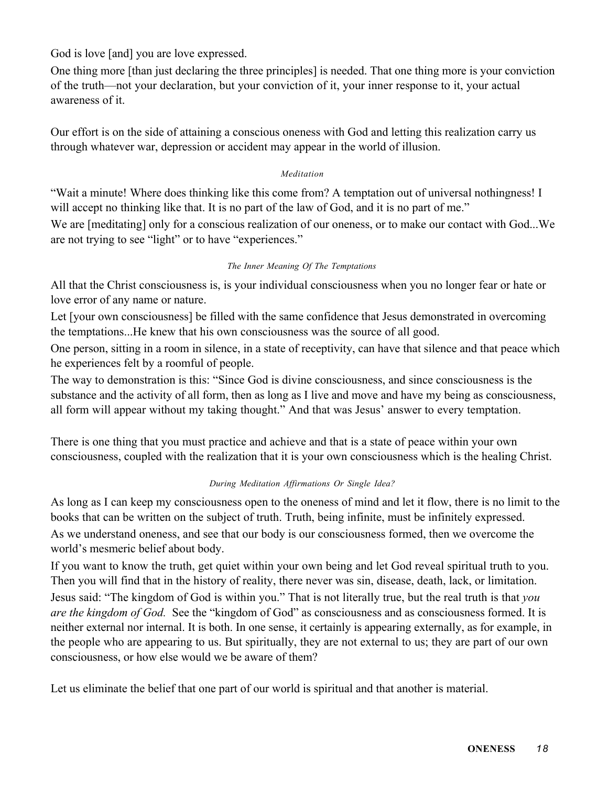God is love [and] you are love expressed.

One thing more [than just declaring the three principles] is needed. That one thing more is your conviction of the truth—not your declaration, but your conviction of it, your inner response to it, your actual awareness of it.

Our effort is on the side of attaining a conscious oneness with God and letting this realization carry us through whatever war, depression or accident may appear in the world of illusion.

# *Meditation*

"Wait a minute! Where does thinking like this come from? A temptation out of universal nothingness! I will accept no thinking like that. It is no part of the law of God, and it is no part of me."

We are [meditating] only for a conscious realization of our oneness, or to make our contact with God...We are not trying to see "light" or to have "experiences."

# *The Inner Meaning Of The Temptations*

All that the Christ consciousness is, is your individual consciousness when you no longer fear or hate or love error of any name or nature.

Let [your own consciousness] be filled with the same confidence that Jesus demonstrated in overcoming the temptations...He knew that his own consciousness was the source of all good.

One person, sitting in a room in silence, in a state of receptivity, can have that silence and that peace which he experiences felt by a roomful of people.

The way to demonstration is this: "Since God is divine consciousness, and since consciousness is the substance and the activity of all form, then as long as I live and move and have my being as consciousness, all form will appear without my taking thought." And that was Jesus' answer to every temptation.

There is one thing that you must practice and achieve and that is a state of peace within your own consciousness, coupled with the realization that it is your own consciousness which is the healing Christ.

# *During Meditation Affirmations Or Single Idea?*

As long as I can keep my consciousness open to the oneness of mind and let it flow, there is no limit to the books that can be written on the subject of truth. Truth, being infinite, must be infinitely expressed. As we understand oneness, and see that our body is our consciousness formed, then we overcome the world's mesmeric belief about body.

If you want to know the truth, get quiet within your own being and let God reveal spiritual truth to you. Then you will find that in the history of reality, there never was sin, disease, death, lack, or limitation. Jesus said: "The kingdom of God is within you." That is not literally true, but the real truth is that *you are the kingdom of God.* See the "kingdom of God" as consciousness and as consciousness formed. It is neither external nor internal. It is both. In one sense, it certainly is appearing externally, as for example, in the people who are appearing to us. But spiritually, they are not external to us; they are part of our own consciousness, or how else would we be aware of them?

Let us eliminate the belief that one part of our world is spiritual and that another is material.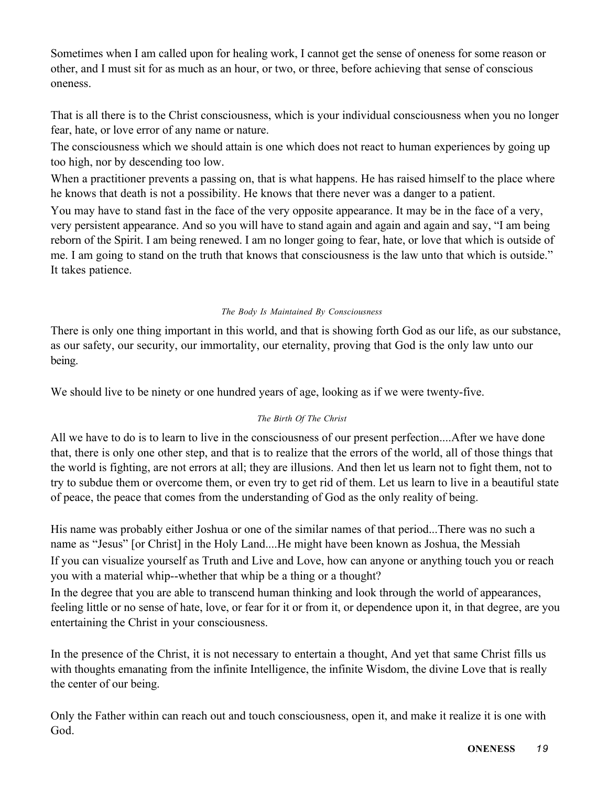Sometimes when I am called upon for healing work, I cannot get the sense of oneness for some reason or other, and I must sit for as much as an hour, or two, or three, before achieving that sense of conscious oneness.

That is all there is to the Christ consciousness, which is your individual consciousness when you no longer fear, hate, or love error of any name or nature.

The consciousness which we should attain is one which does not react to human experiences by going up too high, nor by descending too low.

When a practitioner prevents a passing on, that is what happens. He has raised himself to the place where he knows that death is not a possibility. He knows that there never was a danger to a patient.

You may have to stand fast in the face of the very opposite appearance. It may be in the face of a very, very persistent appearance. And so you will have to stand again and again and again and say, "I am being reborn of the Spirit. I am being renewed. I am no longer going to fear, hate, or love that which is outside of me. I am going to stand on the truth that knows that consciousness is the law unto that which is outside." It takes patience.

# *The Body Is Maintained By Consciousness*

There is only one thing important in this world, and that is showing forth God as our life, as our substance, as our safety, our security, our immortality, our eternality, proving that God is the only law unto our being.

We should live to be ninety or one hundred years of age, looking as if we were twenty-five.

# *The Birth Of The Christ*

All we have to do is to learn to live in the consciousness of our present perfection....After we have done that, there is only one other step, and that is to realize that the errors of the world, all of those things that the world is fighting, are not errors at all; they are illusions. And then let us learn not to fight them, not to try to subdue them or overcome them, or even try to get rid of them. Let us learn to live in a beautiful state of peace, the peace that comes from the understanding of God as the only reality of being.

His name was probably either Joshua or one of the similar names of that period...There was no such a name as "Jesus" [or Christ] in the Holy Land....He might have been known as Joshua, the Messiah If you can visualize yourself as Truth and Live and Love, how can anyone or anything touch you or reach you with a material whip--whether that whip be a thing or a thought? In the degree that you are able to transcend human thinking and look through the world of appearances, feeling little or no sense of hate, love, or fear for it or from it, or dependence upon it, in that degree, are you entertaining the Christ in your consciousness.

In the presence of the Christ, it is not necessary to entertain a thought, And yet that same Christ fills us with thoughts emanating from the infinite Intelligence, the infinite Wisdom, the divine Love that is really the center of our being.

Only the Father within can reach out and touch consciousness, open it, and make it realize it is one with God.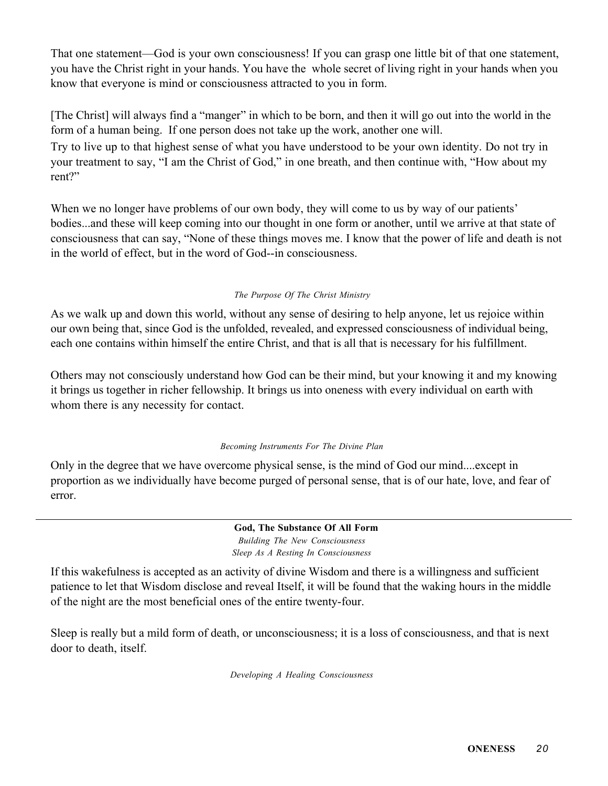That one statement—God is your own consciousness! If you can grasp one little bit of that one statement, you have the Christ right in your hands. You have the whole secret of living right in your hands when you know that everyone is mind or consciousness attracted to you in form.

[The Christ] will always find a "manger" in which to be born, and then it will go out into the world in the form of a human being. If one person does not take up the work, another one will.

Try to live up to that highest sense of what you have understood to be your own identity. Do not try in your treatment to say, "I am the Christ of God," in one breath, and then continue with, "How about my rent?"

When we no longer have problems of our own body, they will come to us by way of our patients' bodies...and these will keep coming into our thought in one form or another, until we arrive at that state of consciousness that can say, "None of these things moves me. I know that the power of life and death is not in the world of effect, but in the word of God--in consciousness.

# *The Purpose Of The Christ Ministry*

As we walk up and down this world, without any sense of desiring to help anyone, let us rejoice within our own being that, since God is the unfolded, revealed, and expressed consciousness of individual being, each one contains within himself the entire Christ, and that is all that is necessary for his fulfillment.

Others may not consciously understand how God can be their mind, but your knowing it and my knowing it brings us together in richer fellowship. It brings us into oneness with every individual on earth with whom there is any necessity for contact.

# *Becoming Instruments For The Divine Plan*

Only in the degree that we have overcome physical sense, is the mind of God our mind....except in proportion as we individually have become purged of personal sense, that is of our hate, love, and fear of error.

> God, The Substance Of All Form *Building The New Consciousness Sleep As A Resting In Consciousness*

If this wakefulness is accepted as an activity of divine Wisdom and there is a willingness and sufficient patience to let that Wisdom disclose and reveal Itself, it will be found that the waking hours in the middle of the night are the most beneficial ones of the entire twenty-four.

Sleep is really but a mild form of death, or unconsciousness; it is a loss of consciousness, and that is next door to death, itself.

*Developing A Healing Consciousness*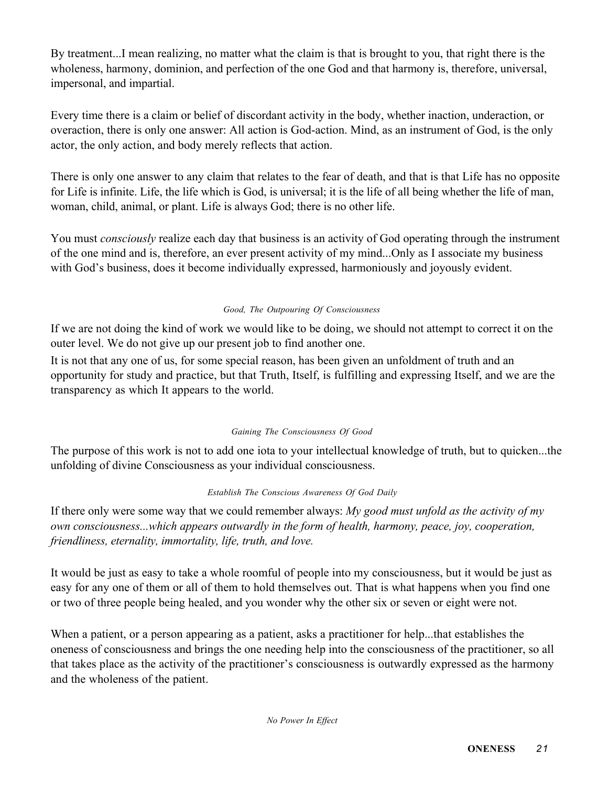By treatment...I mean realizing, no matter what the claim is that is brought to you, that right there is the wholeness, harmony, dominion, and perfection of the one God and that harmony is, therefore, universal, impersonal, and impartial.

Every time there is a claim or belief of discordant activity in the body, whether inaction, underaction, or overaction, there is only one answer: All action is God-action. Mind, as an instrument of God, is the only actor, the only action, and body merely reflects that action.

There is only one answer to any claim that relates to the fear of death, and that is that Life has no opposite for Life is infinite. Life, the life which is God, is universal; it is the life of all being whether the life of man, woman, child, animal, or plant. Life is always God; there is no other life.

You must *consciously* realize each day that business is an activity of God operating through the instrument of the one mind and is, therefore, an ever present activity of my mind...Only as I associate my business with God's business, does it become individually expressed, harmoniously and joyously evident.

# *Good, The Outpouring Of Consciousness*

If we are not doing the kind of work we would like to be doing, we should not attempt to correct it on the outer level. We do not give up our present job to find another one.

It is not that any one of us, for some special reason, has been given an unfoldment of truth and an opportunity for study and practice, but that Truth, Itself, is fulfilling and expressing Itself, and we are the transparency as which It appears to the world.

# *Gaining The Consciousness Of Good*

The purpose of this work is not to add one iota to your intellectual knowledge of truth, but to quicken...the unfolding of divine Consciousness as your individual consciousness.

# *Establish The Conscious Awareness Of God Daily*

If there only were some way that we could remember always: *My good must unfold as the activity of my own consciousness...which appears outwardly in the form of health, harmony, peace, joy, cooperation, friendliness, eternality, immortality, life, truth, and love.*

It would be just as easy to take a whole roomful of people into my consciousness, but it would be just as easy for any one of them or all of them to hold themselves out. That is what happens when you find one or two of three people being healed, and you wonder why the other six or seven or eight were not.

When a patient, or a person appearing as a patient, asks a practitioner for help...that establishes the oneness of consciousness and brings the one needing help into the consciousness of the practitioner, so all that takes place as the activity of the practitioner's consciousness is outwardly expressed as the harmony and the wholeness of the patient.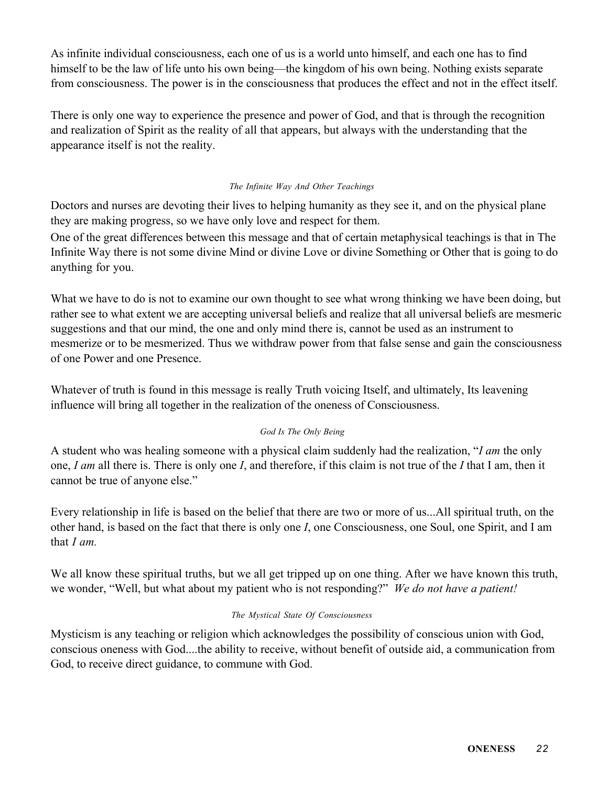As infinite individual consciousness, each one of us is a world unto himself, and each one has to find himself to be the law of life unto his own being—the kingdom of his own being. Nothing exists separate from consciousness. The power is in the consciousness that produces the effect and not in the effect itself.

There is only one way to experience the presence and power of God, and that is through the recognition and realization of Spirit as the reality of all that appears, but always with the understanding that the appearance itself is not the reality.

### *The Infinite Way And Other Teachings*

Doctors and nurses are devoting their lives to helping humanity as they see it, and on the physical plane they are making progress, so we have only love and respect for them.

One of the great differences between this message and that of certain metaphysical teachings is that in The Infinite Way there is not some divine Mind or divine Love or divine Something or Other that is going to do anything for you.

What we have to do is not to examine our own thought to see what wrong thinking we have been doing, but rather see to what extent we are accepting universal beliefs and realize that all universal beliefs are mesmeric suggestions and that our mind, the one and only mind there is, cannot be used as an instrument to mesmerize or to be mesmerized. Thus we withdraw power from that false sense and gain the consciousness of one Power and one Presence.

Whatever of truth is found in this message is really Truth voicing Itself, and ultimately, Its leavening influence will bring all together in the realization of the oneness of Consciousness.

# *God Is The Only Being*

A student who was healing someone with a physical claim suddenly had the realization, "*I am* the only one, *I am* all there is. There is only one *I*, and therefore, if this claim is not true of the *I* that I am, then it cannot be true of anyone else."

Every relationship in life is based on the belief that there are two or more of us...All spiritual truth, on the other hand, is based on the fact that there is only one *I*, one Consciousness, one Soul, one Spirit, and I am that *I am.*

We all know these spiritual truths, but we all get tripped up on one thing. After we have known this truth, we wonder, "Well, but what about my patient who is not responding?" *We do not have a patient!*

#### *The Mystical State Of Consciousness*

Mysticism is any teaching or religion which acknowledges the possibility of conscious union with God, conscious oneness with God....the ability to receive, without benefit of outside aid, a communication from God, to receive direct guidance, to commune with God.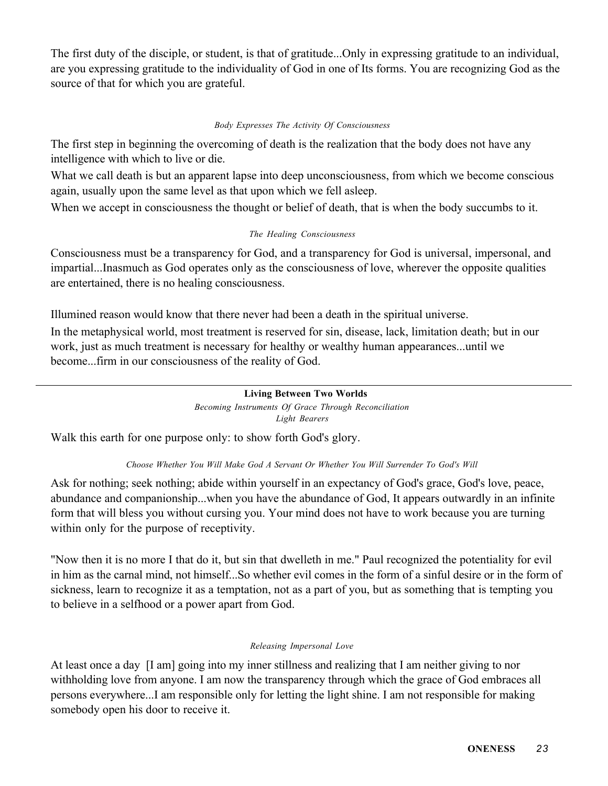The first duty of the disciple, or student, is that of gratitude...Only in expressing gratitude to an individual, are you expressing gratitude to the individuality of God in one of Its forms. You are recognizing God as the source of that for which you are grateful.

### *Body Expresses The Activity Of Consciousness*

The first step in beginning the overcoming of death is the realization that the body does not have any intelligence with which to live or die.

What we call death is but an apparent lapse into deep unconsciousness, from which we become conscious again, usually upon the same level as that upon which we fell asleep.

When we accept in consciousness the thought or belief of death, that is when the body succumbs to it.

# *The Healing Consciousness*

Consciousness must be a transparency for God, and a transparency for God is universal, impersonal, and impartial...Inasmuch as God operates only as the consciousness of love, wherever the opposite qualities are entertained, there is no healing consciousness.

Illumined reason would know that there never had been a death in the spiritual universe. In the metaphysical world, most treatment is reserved for sin, disease, lack, limitation death; but in our work, just as much treatment is necessary for healthy or wealthy human appearances...until we become...firm in our consciousness of the reality of God.

# Living Between Two Worlds

*Becoming Instruments Of Grace Through Reconciliation Light Bearers*

Walk this earth for one purpose only: to show forth God's glory.

# *Choose Whether You Will Make God A Servant Or Whether You Will Surrender To God's Will*

Ask for nothing; seek nothing; abide within yourself in an expectancy of God's grace, God's love, peace, abundance and companionship...when you have the abundance of God, It appears outwardly in an infinite form that will bless you without cursing you. Your mind does not have to work because you are turning within only for the purpose of receptivity.

"Now then it is no more I that do it, but sin that dwelleth in me." Paul recognized the potentiality for evil in him as the carnal mind, not himself...So whether evil comes in the form of a sinful desire or in the form of sickness, learn to recognize it as a temptation, not as a part of you, but as something that is tempting you to believe in a selfhood or a power apart from God.

#### *Releasing Impersonal Love*

At least once a day [I am] going into my inner stillness and realizing that I am neither giving to nor withholding love from anyone. I am now the transparency through which the grace of God embraces all persons everywhere...I am responsible only for letting the light shine. I am not responsible for making somebody open his door to receive it.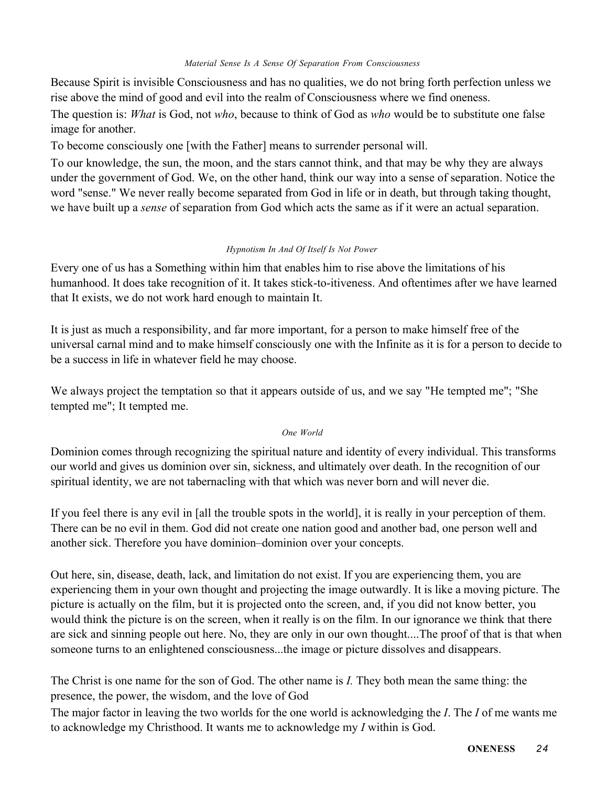#### *Material Sense Is A Sense Of Separation From Consciousness*

Because Spirit is invisible Consciousness and has no qualities, we do not bring forth perfection unless we rise above the mind of good and evil into the realm of Consciousness where we find oneness.

The question is: *What* is God, not *who*, because to think of God as *who* would be to substitute one false image for another.

To become consciously one [with the Father] means to surrender personal will.

To our knowledge, the sun, the moon, and the stars cannot think, and that may be why they are always under the government of God. We, on the other hand, think our way into a sense of separation. Notice the word "sense." We never really become separated from God in life or in death, but through taking thought, we have built up a *sense* of separation from God which acts the same as if it were an actual separation.

# *Hypnotism In And Of Itself Is Not Power*

Every one of us has a Something within him that enables him to rise above the limitations of his humanhood. It does take recognition of it. It takes stick-to-itiveness. And oftentimes after we have learned that It exists, we do not work hard enough to maintain It.

It is just as much a responsibility, and far more important, for a person to make himself free of the universal carnal mind and to make himself consciously one with the Infinite as it is for a person to decide to be a success in life in whatever field he may choose.

We always project the temptation so that it appears outside of us, and we say "He tempted me"; "She tempted me"; It tempted me.

# *One World*

Dominion comes through recognizing the spiritual nature and identity of every individual. This transforms our world and gives us dominion over sin, sickness, and ultimately over death. In the recognition of our spiritual identity, we are not tabernacling with that which was never born and will never die.

If you feel there is any evil in [all the trouble spots in the world], it is really in your perception of them. There can be no evil in them. God did not create one nation good and another bad, one person well and another sick. Therefore you have dominion–dominion over your concepts.

Out here, sin, disease, death, lack, and limitation do not exist. If you are experiencing them, you are experiencing them in your own thought and projecting the image outwardly. It is like a moving picture. The picture is actually on the film, but it is projected onto the screen, and, if you did not know better, you would think the picture is on the screen, when it really is on the film. In our ignorance we think that there are sick and sinning people out here. No, they are only in our own thought....The proof of that is that when someone turns to an enlightened consciousness...the image or picture dissolves and disappears.

The Christ is one name for the son of God. The other name is *I.* They both mean the same thing: the presence, the power, the wisdom, and the love of God

The major factor in leaving the two worlds for the one world is acknowledging the *I*. The *I* of me wants me to acknowledge my Christhood. It wants me to acknowledge my *I* within is God.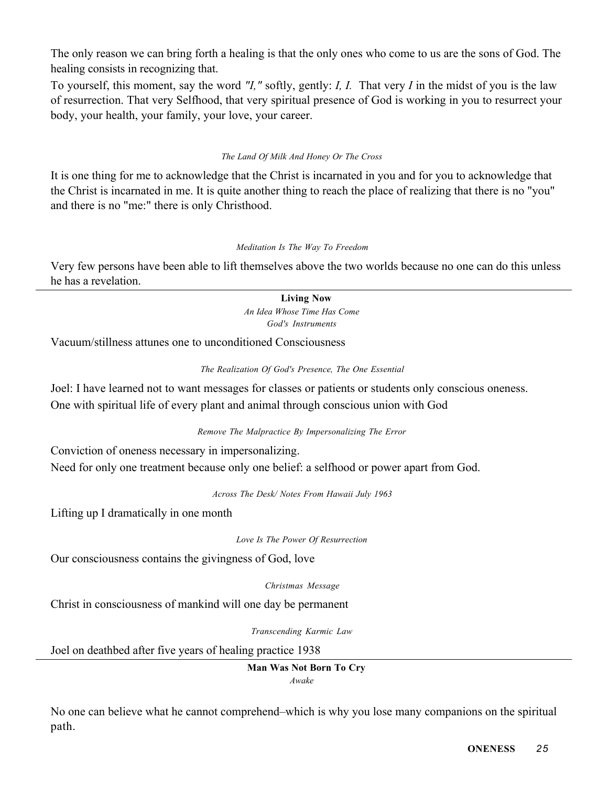The only reason we can bring forth a healing is that the only ones who come to us are the sons of God. The healing consists in recognizing that.

To yourself, this moment, say the word *"I,"* softly, gently: *I, I.* That very *I* in the midst of you is the law of resurrection. That very Selfhood, that very spiritual presence of God is working in you to resurrect your body, your health, your family, your love, your career.

### *The Land Of Milk And Honey Or The Cross*

It is one thing for me to acknowledge that the Christ is incarnated in you and for you to acknowledge that the Christ is incarnated in me. It is quite another thing to reach the place of realizing that there is no "you" and there is no "me:" there is only Christhood.

#### *Meditation Is The Way To Freedom*

Very few persons have been able to lift themselves above the two worlds because no one can do this unless he has a revelation.

#### Living Now

*An Idea Whose Time Has Come God's Instruments*

Vacuum/stillness attunes one to unconditioned Consciousness

### *The Realization Of God's Presence, The One Essential*

Joel: I have learned not to want messages for classes or patients or students only conscious oneness. One with spiritual life of every plant and animal through conscious union with God

# *Remove The Malpractice By Impersonalizing The Error*

Conviction of oneness necessary in impersonalizing. Need for only one treatment because only one belief: a selfhood or power apart from God.

*Across The Desk/ Notes From Hawaii July 1963*

Lifting up I dramatically in one month

*Love Is The Power Of Resurrection*

Our consciousness contains the givingness of God, love

*Christmas Message*

Christ in consciousness of mankind will one day be permanent

*Transcending Karmic Law*

Joel on deathbed after five years of healing practice 1938

Man Was Not Born To Cry *Awake*

No one can believe what he cannot comprehend–which is why you lose many companions on the spiritual path.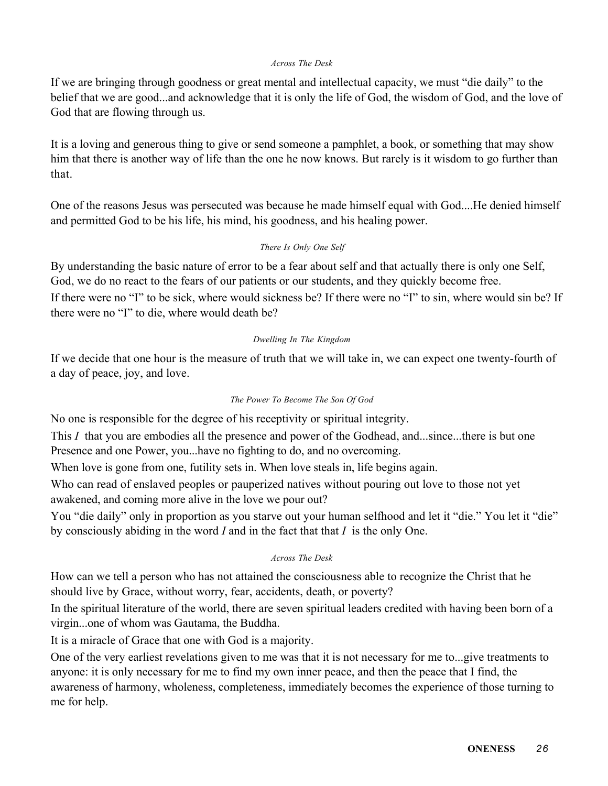#### *Across The Desk*

If we are bringing through goodness or great mental and intellectual capacity, we must "die daily" to the belief that we are good...and acknowledge that it is only the life of God, the wisdom of God, and the love of God that are flowing through us.

It is a loving and generous thing to give or send someone a pamphlet, a book, or something that may show him that there is another way of life than the one he now knows. But rarely is it wisdom to go further than that.

One of the reasons Jesus was persecuted was because he made himself equal with God....He denied himself and permitted God to be his life, his mind, his goodness, and his healing power.

### *There Is Only One Self*

By understanding the basic nature of error to be a fear about self and that actually there is only one Self, God, we do no react to the fears of our patients or our students, and they quickly become free. If there were no "I" to be sick, where would sickness be? If there were no "I" to sin, where would sin be? If there were no "I" to die, where would death be?

### *Dwelling In The Kingdom*

If we decide that one hour is the measure of truth that we will take in, we can expect one twenty-fourth of a day of peace, joy, and love.

### *The Power To Become The Son Of God*

No one is responsible for the degree of his receptivity or spiritual integrity.

This *I* that you are embodies all the presence and power of the Godhead, and...since...there is but one Presence and one Power, you...have no fighting to do, and no overcoming.

When love is gone from one, futility sets in. When love steals in, life begins again.

Who can read of enslaved peoples or pauperized natives without pouring out love to those not yet awakened, and coming more alive in the love we pour out?

You "die daily" only in proportion as you starve out your human selfhood and let it "die." You let it "die" by consciously abiding in the word *I* and in the fact that that *I* is the only One.

# *Across The Desk*

How can we tell a person who has not attained the consciousness able to recognize the Christ that he should live by Grace, without worry, fear, accidents, death, or poverty?

In the spiritual literature of the world, there are seven spiritual leaders credited with having been born of a virgin...one of whom was Gautama, the Buddha.

It is a miracle of Grace that one with God is a majority.

One of the very earliest revelations given to me was that it is not necessary for me to...give treatments to anyone: it is only necessary for me to find my own inner peace, and then the peace that I find, the awareness of harmony, wholeness, completeness, immediately becomes the experience of those turning to me for help.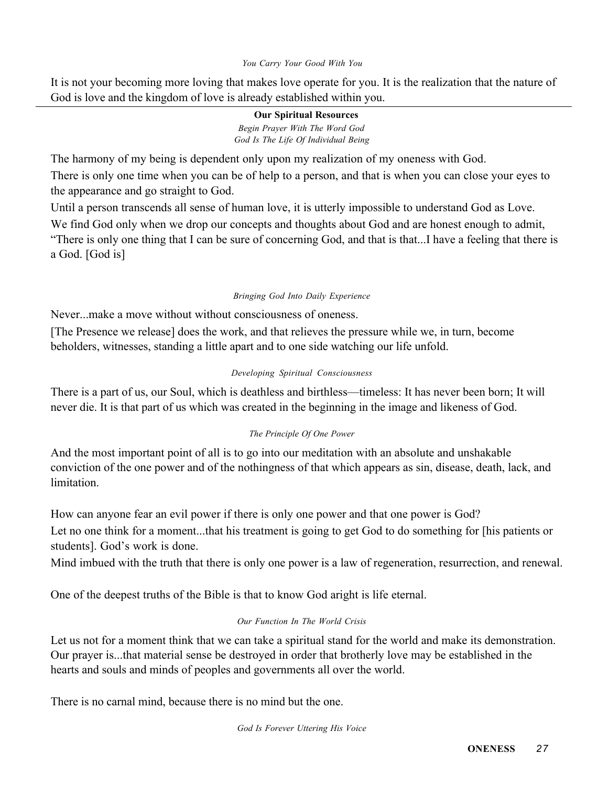It is not your becoming more loving that makes love operate for you. It is the realization that the nature of God is love and the kingdom of love is already established within you.

> Our Spiritual Resources *Begin Prayer With The Word God God Is The Life Of Individual Being*

The harmony of my being is dependent only upon my realization of my oneness with God.

There is only one time when you can be of help to a person, and that is when you can close your eyes to the appearance and go straight to God.

Until a person transcends all sense of human love, it is utterly impossible to understand God as Love.

We find God only when we drop our concepts and thoughts about God and are honest enough to admit, "There is only one thing that I can be sure of concerning God, and that is that...I have a feeling that there is a God. [God is]

# *Bringing God Into Daily Experience*

Never...make a move without without consciousness of oneness.

[The Presence we release] does the work, and that relieves the pressure while we, in turn, become beholders, witnesses, standing a little apart and to one side watching our life unfold.

# *Developing Spiritual Consciousness*

There is a part of us, our Soul, which is deathless and birthless—timeless: It has never been born; It will never die. It is that part of us which was created in the beginning in the image and likeness of God.

# *The Principle Of One Power*

And the most important point of all is to go into our meditation with an absolute and unshakable conviction of the one power and of the nothingness of that which appears as sin, disease, death, lack, and **limitation** 

How can anyone fear an evil power if there is only one power and that one power is God?

Let no one think for a moment...that his treatment is going to get God to do something for [his patients or students]. God's work is done.

Mind imbued with the truth that there is only one power is a law of regeneration, resurrection, and renewal.

One of the deepest truths of the Bible is that to know God aright is life eternal.

# *Our Function In The World Crisis*

Let us not for a moment think that we can take a spiritual stand for the world and make its demonstration. Our prayer is...that material sense be destroyed in order that brotherly love may be established in the hearts and souls and minds of peoples and governments all over the world.

There is no carnal mind, because there is no mind but the one.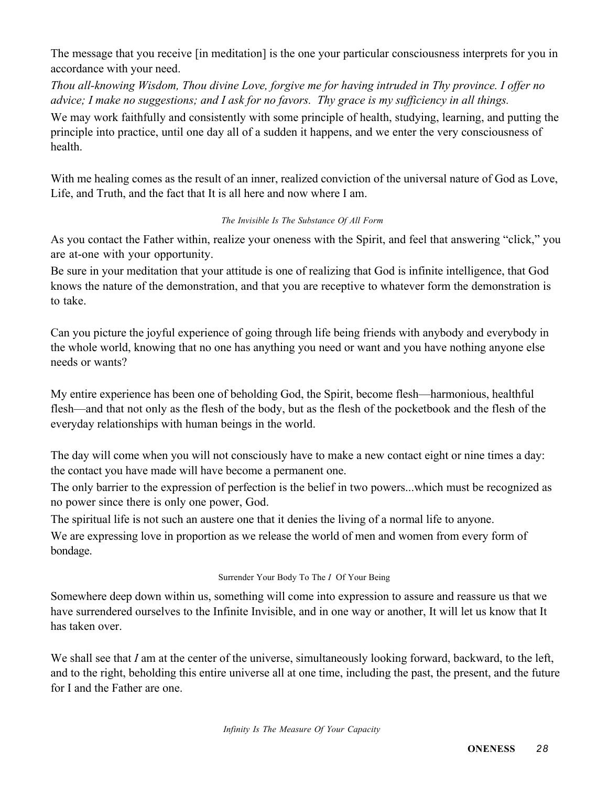The message that you receive [in meditation] is the one your particular consciousness interprets for you in accordance with your need.

*Thou all-knowing Wisdom, Thou divine Love, forgive me for having intruded in Thy province. I offer no advice; I make no suggestions; and I ask for no favors. Thy grace is my sufficiency in all things.*

We may work faithfully and consistently with some principle of health, studying, learning, and putting the principle into practice, until one day all of a sudden it happens, and we enter the very consciousness of health.

With me healing comes as the result of an inner, realized conviction of the universal nature of God as Love, Life, and Truth, and the fact that It is all here and now where I am.

# *The Invisible Is The Substance Of All Form*

As you contact the Father within, realize your oneness with the Spirit, and feel that answering "click," you are at-one with your opportunity.

Be sure in your meditation that your attitude is one of realizing that God is infinite intelligence, that God knows the nature of the demonstration, and that you are receptive to whatever form the demonstration is to take.

Can you picture the joyful experience of going through life being friends with anybody and everybody in the whole world, knowing that no one has anything you need or want and you have nothing anyone else needs or wants?

My entire experience has been one of beholding God, the Spirit, become flesh—harmonious, healthful flesh—and that not only as the flesh of the body, but as the flesh of the pocketbook and the flesh of the everyday relationships with human beings in the world.

The day will come when you will not consciously have to make a new contact eight or nine times a day: the contact you have made will have become a permanent one.

The only barrier to the expression of perfection is the belief in two powers...which must be recognized as no power since there is only one power, God.

The spiritual life is not such an austere one that it denies the living of a normal life to anyone.

We are expressing love in proportion as we release the world of men and women from every form of bondage.

# Surrender Your Body To The *I* Of Your Being

Somewhere deep down within us, something will come into expression to assure and reassure us that we have surrendered ourselves to the Infinite Invisible, and in one way or another, It will let us know that It has taken over.

We shall see that *I* am at the center of the universe, simultaneously looking forward, backward, to the left, and to the right, beholding this entire universe all at one time, including the past, the present, and the future for I and the Father are one.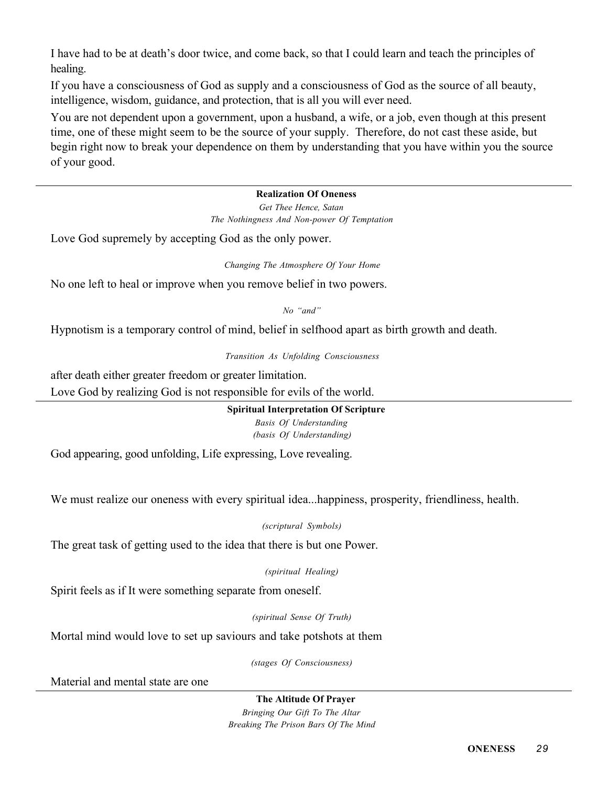I have had to be at death's door twice, and come back, so that I could learn and teach the principles of healing.

If you have a consciousness of God as supply and a consciousness of God as the source of all beauty, intelligence, wisdom, guidance, and protection, that is all you will ever need.

You are not dependent upon a government, upon a husband, a wife, or a job, even though at this present time, one of these might seem to be the source of your supply. Therefore, do not cast these aside, but begin right now to break your dependence on them by understanding that you have within you the source of your good.

### Realization Of Oneness

*Get Thee Hence, Satan The Nothingness And Non-power Of Temptation*

Love God supremely by accepting God as the only power.

#### *Changing The Atmosphere Of Your Home*

No one left to heal or improve when you remove belief in two powers.

*No "and"*

Hypnotism is a temporary control of mind, belief in selfhood apart as birth growth and death.

*Transition As Unfolding Consciousness*

after death either greater freedom or greater limitation.

Love God by realizing God is not responsible for evils of the world.

Spiritual Interpretation Of Scripture

*Basis Of Understanding (basis Of Understanding)*

God appearing, good unfolding, Life expressing, Love revealing.

We must realize our oneness with every spiritual idea...happiness, prosperity, friendliness, health.

*(scriptural Symbols)*

The great task of getting used to the idea that there is but one Power.

*(spiritual Healing)*

Spirit feels as if It were something separate from oneself.

*(spiritual Sense Of Truth)*

Mortal mind would love to set up saviours and take potshots at them

*(stages Of Consciousness)*

Material and mental state are one

The Altitude Of Prayer *Bringing Our Gift To The Altar Breaking The Prison Bars Of The Mind*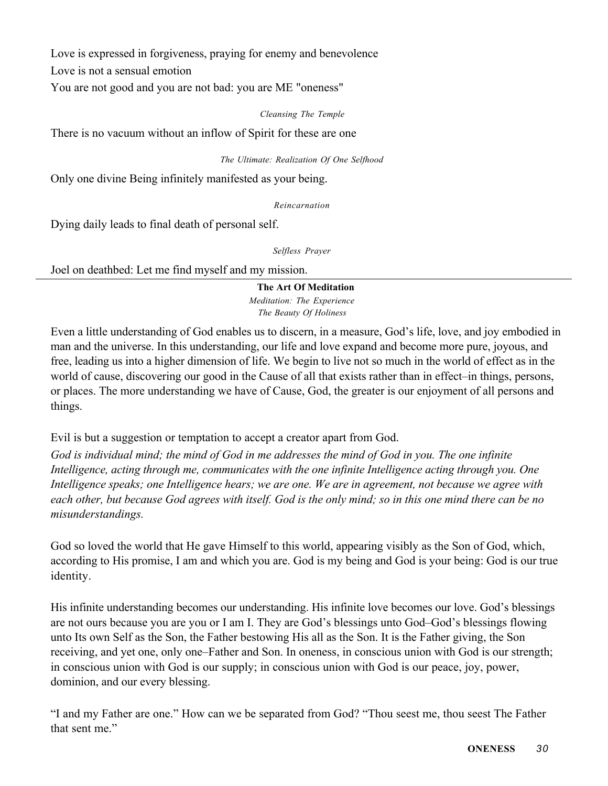Love is expressed in forgiveness, praying for enemy and benevolence

Love is not a sensual emotion

You are not good and you are not bad: you are ME "oneness"

*Cleansing The Temple*

There is no vacuum without an inflow of Spirit for these are one

*The Ultimate: Realization Of One Selfhood*

Only one divine Being infinitely manifested as your being.

*Reincarnation*

Dying daily leads to final death of personal self.

*Selfless Prayer*

Joel on deathbed: Let me find myself and my mission.

# The Art Of Meditation

*Meditation: The Experience The Beauty Of Holiness*

Even a little understanding of God enables us to discern, in a measure, God's life, love, and joy embodied in man and the universe. In this understanding, our life and love expand and become more pure, joyous, and free, leading us into a higher dimension of life. We begin to live not so much in the world of effect as in the world of cause, discovering our good in the Cause of all that exists rather than in effect–in things, persons, or places. The more understanding we have of Cause, God, the greater is our enjoyment of all persons and things.

Evil is but a suggestion or temptation to accept a creator apart from God.

*God is individual mind; the mind of God in me addresses the mind of God in you. The one infinite Intelligence, acting through me, communicates with the one infinite Intelligence acting through you. One Intelligence speaks; one Intelligence hears; we are one. We are in agreement, not because we agree with each other, but because God agrees with itself. God is the only mind; so in this one mind there can be no misunderstandings.*

God so loved the world that He gave Himself to this world, appearing visibly as the Son of God, which, according to His promise, I am and which you are. God is my being and God is your being: God is our true identity.

His infinite understanding becomes our understanding. His infinite love becomes our love. God's blessings are not ours because you are you or I am I. They are God's blessings unto God–God's blessings flowing unto Its own Self as the Son, the Father bestowing His all as the Son. It is the Father giving, the Son receiving, and yet one, only one–Father and Son. In oneness, in conscious union with God is our strength; in conscious union with God is our supply; in conscious union with God is our peace, joy, power, dominion, and our every blessing.

"I and my Father are one." How can we be separated from God? "Thou seest me, thou seest The Father that sent me"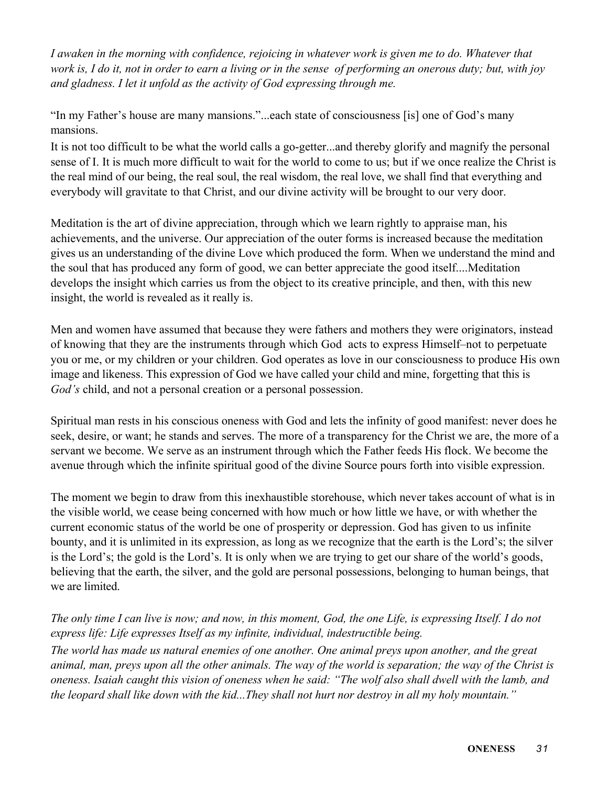*I awaken in the morning with confidence, rejoicing in whatever work is given me to do. Whatever that work is, I do it, not in order to earn a living or in the sense of performing an onerous duty; but, with joy and gladness. I let it unfold as the activity of God expressing through me.*

"In my Father's house are many mansions."...each state of consciousness [is] one of God's many mansions.

It is not too difficult to be what the world calls a go-getter...and thereby glorify and magnify the personal sense of I. It is much more difficult to wait for the world to come to us; but if we once realize the Christ is the real mind of our being, the real soul, the real wisdom, the real love, we shall find that everything and everybody will gravitate to that Christ, and our divine activity will be brought to our very door.

Meditation is the art of divine appreciation, through which we learn rightly to appraise man, his achievements, and the universe. Our appreciation of the outer forms is increased because the meditation gives us an understanding of the divine Love which produced the form. When we understand the mind and the soul that has produced any form of good, we can better appreciate the good itself....Meditation develops the insight which carries us from the object to its creative principle, and then, with this new insight, the world is revealed as it really is.

Men and women have assumed that because they were fathers and mothers they were originators, instead of knowing that they are the instruments through which God acts to express Himself–not to perpetuate you or me, or my children or your children. God operates as love in our consciousness to produce His own image and likeness. This expression of God we have called your child and mine, forgetting that this is *God's* child, and not a personal creation or a personal possession.

Spiritual man rests in his conscious oneness with God and lets the infinity of good manifest: never does he seek, desire, or want; he stands and serves. The more of a transparency for the Christ we are, the more of a servant we become. We serve as an instrument through which the Father feeds His flock. We become the avenue through which the infinite spiritual good of the divine Source pours forth into visible expression.

The moment we begin to draw from this inexhaustible storehouse, which never takes account of what is in the visible world, we cease being concerned with how much or how little we have, or with whether the current economic status of the world be one of prosperity or depression. God has given to us infinite bounty, and it is unlimited in its expression, as long as we recognize that the earth is the Lord's; the silver is the Lord's; the gold is the Lord's. It is only when we are trying to get our share of the world's goods, believing that the earth, the silver, and the gold are personal possessions, belonging to human beings, that we are limited.

# *The only time I can live is now; and now, in this moment, God, the one Life, is expressing Itself. I do not express life: Life expresses Itself as my infinite, individual, indestructible being.*

*The world has made us natural enemies of one another. One animal preys upon another, and the great animal, man, preys upon all the other animals. The way of the world is separation; the way of the Christ is oneness. Isaiah caught this vision of oneness when he said: "The wolf also shall dwell with the lamb, and the leopard shall like down with the kid...They shall not hurt nor destroy in all my holy mountain."*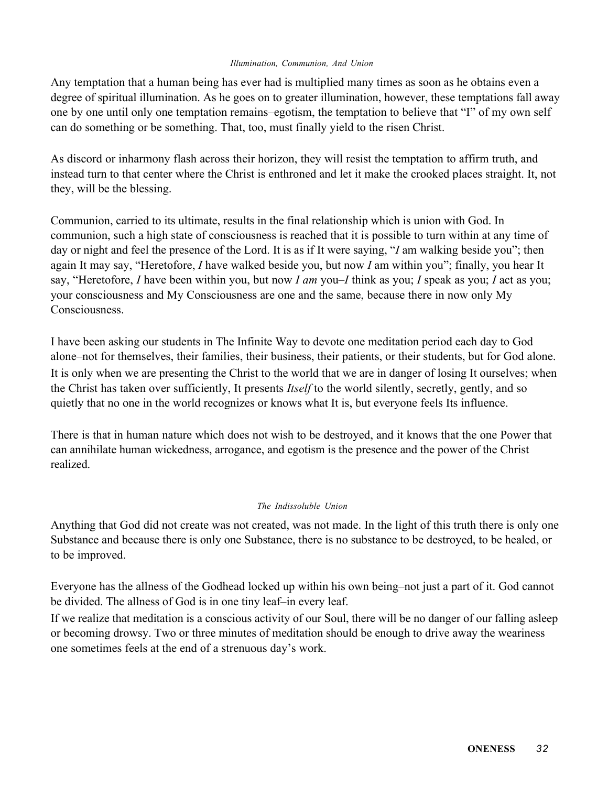#### *Illumination, Communion, And Union*

Any temptation that a human being has ever had is multiplied many times as soon as he obtains even a degree of spiritual illumination. As he goes on to greater illumination, however, these temptations fall away one by one until only one temptation remains–egotism, the temptation to believe that "I" of my own self can do something or be something. That, too, must finally yield to the risen Christ.

As discord or inharmony flash across their horizon, they will resist the temptation to affirm truth, and instead turn to that center where the Christ is enthroned and let it make the crooked places straight. It, not they, will be the blessing.

Communion, carried to its ultimate, results in the final relationship which is union with God. In communion, such a high state of consciousness is reached that it is possible to turn within at any time of day or night and feel the presence of the Lord. It is as if It were saying, "*I* am walking beside you"; then again It may say, "Heretofore, *I* have walked beside you, but now *I* am within you"; finally, you hear It say, "Heretofore, *I* have been within you, but now *I am* you–*I* think as you; *I* speak as you; *I* act as you; your consciousness and My Consciousness are one and the same, because there in now only My Consciousness.

I have been asking our students in The Infinite Way to devote one meditation period each day to God alone–not for themselves, their families, their business, their patients, or their students, but for God alone. It is only when we are presenting the Christ to the world that we are in danger of losing It ourselves; when the Christ has taken over sufficiently, It presents *Itself* to the world silently, secretly, gently, and so quietly that no one in the world recognizes or knows what It is, but everyone feels Its influence.

There is that in human nature which does not wish to be destroyed, and it knows that the one Power that can annihilate human wickedness, arrogance, and egotism is the presence and the power of the Christ realized.

#### *The Indissoluble Union*

Anything that God did not create was not created, was not made. In the light of this truth there is only one Substance and because there is only one Substance, there is no substance to be destroyed, to be healed, or to be improved.

Everyone has the allness of the Godhead locked up within his own being–not just a part of it. God cannot be divided. The allness of God is in one tiny leaf–in every leaf.

If we realize that meditation is a conscious activity of our Soul, there will be no danger of our falling asleep or becoming drowsy. Two or three minutes of meditation should be enough to drive away the weariness one sometimes feels at the end of a strenuous day's work.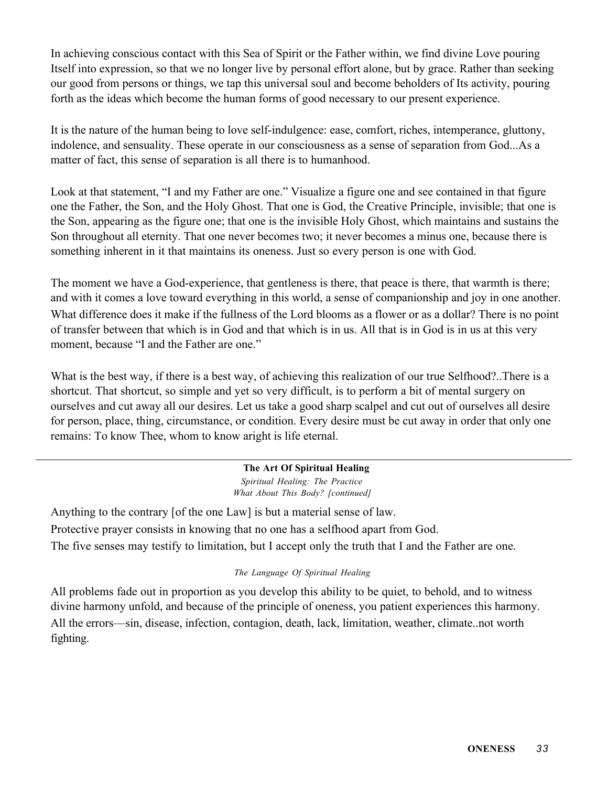In achieving conscious contact with this Sea of Spirit or the Father within, we find divine Love pouring Itself into expression, so that we no longer live by personal effort alone, but by grace. Rather than seeking our good from persons or things, we tap this universal soul and become beholders of Its activity, pouring forth as the ideas which become the human forms of good necessary to our present experience.

It is the nature of the human being to love self-indulgence: ease, comfort, riches, intemperance, gluttony, indolence, and sensuality. These operate in our consciousness as a sense of separation from God...As a matter of fact, this sense of separation is all there is to humanhood.

Look at that statement, "I and my Father are one." Visualize a figure one and see contained in that figure one the Father, the Son, and the Holy Ghost. That one is God, the Creative Principle, invisible; that one is the Son, appearing as the figure one; that one is the invisible Holy Ghost, which maintains and sustains the Son throughout all eternity. That one never becomes two; it never becomes a minus one, because there is something inherent in it that maintains its oneness. Just so every person is one with God.

The moment we have a God-experience, that gentleness is there, that peace is there, that warmth is there; and with it comes a love toward everything in this world, a sense of companionship and joy in one another. What difference does it make if the fullness of the Lord blooms as a flower or as a dollar? There is no point of transfer between that which is in God and that which is in us. All that is in God is in us at this very moment, because "I and the Father are one."

What is the best way, if there is a best way, of achieving this realization of our true Selfhood?..There is a shortcut. That shortcut, so simple and yet so very difficult, is to perform a bit of mental surgery on ourselves and cut away all our desires. Let us take a good sharp scalpel and cut out of ourselves all desire for person, place, thing, circumstance, or condition. Every desire must be cut away in order that only one remains: To know Thee, whom to know aright is life eternal.

# The Art Of Spiritual Healing

*Spiritual Healing: The Practice What About This Body? [continued]*

Anything to the contrary [of the one Law] is but a material sense of law. Protective prayer consists in knowing that no one has a selfhood apart from God. The five senses may testify to limitation, but I accept only the truth that I and the Father are one.

# *The Language Of Spiritual Healing*

All problems fade out in proportion as you develop this ability to be quiet, to behold, and to witness divine harmony unfold, and because of the principle of oneness, you patient experiences this harmony. All the errors—sin, disease, infection, contagion, death, lack, limitation, weather, climate..not worth fighting.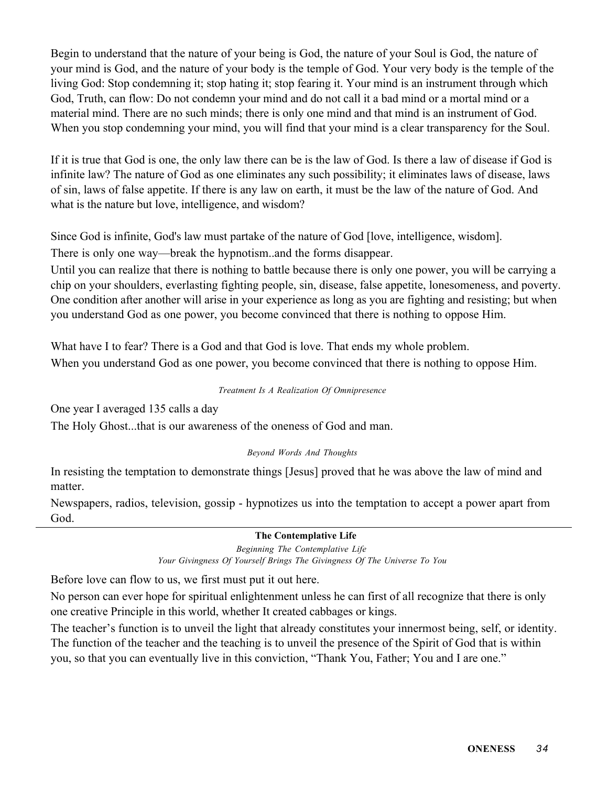Begin to understand that the nature of your being is God, the nature of your Soul is God, the nature of your mind is God, and the nature of your body is the temple of God. Your very body is the temple of the living God: Stop condemning it; stop hating it; stop fearing it. Your mind is an instrument through which God, Truth, can flow: Do not condemn your mind and do not call it a bad mind or a mortal mind or a material mind. There are no such minds; there is only one mind and that mind is an instrument of God. When you stop condemning your mind, you will find that your mind is a clear transparency for the Soul.

If it is true that God is one, the only law there can be is the law of God. Is there a law of disease if God is infinite law? The nature of God as one eliminates any such possibility; it eliminates laws of disease, laws of sin, laws of false appetite. If there is any law on earth, it must be the law of the nature of God. And what is the nature but love, intelligence, and wisdom?

Since God is infinite, God's law must partake of the nature of God [love, intelligence, wisdom]. There is only one way—break the hypnotism..and the forms disappear.

Until you can realize that there is nothing to battle because there is only one power, you will be carrying a chip on your shoulders, everlasting fighting people, sin, disease, false appetite, lonesomeness, and poverty. One condition after another will arise in your experience as long as you are fighting and resisting; but when you understand God as one power, you become convinced that there is nothing to oppose Him.

What have I to fear? There is a God and that God is love. That ends my whole problem. When you understand God as one power, you become convinced that there is nothing to oppose Him.

### *Treatment Is A Realization Of Omnipresence*

One year I averaged 135 calls a day The Holy Ghost...that is our awareness of the oneness of God and man.

# *Beyond Words And Thoughts*

In resisting the temptation to demonstrate things [Jesus] proved that he was above the law of mind and matter.

Newspapers, radios, television, gossip - hypnotizes us into the temptation to accept a power apart from God.

#### The Contemplative Life

*Beginning The Contemplative Life Your Givingness Of Yourself Brings The Givingness Of The Universe To You*

Before love can flow to us, we first must put it out here.

No person can ever hope for spiritual enlightenment unless he can first of all recognize that there is only one creative Principle in this world, whether It created cabbages or kings.

The teacher's function is to unveil the light that already constitutes your innermost being, self, or identity. The function of the teacher and the teaching is to unveil the presence of the Spirit of God that is within you, so that you can eventually live in this conviction, "Thank You, Father; You and I are one."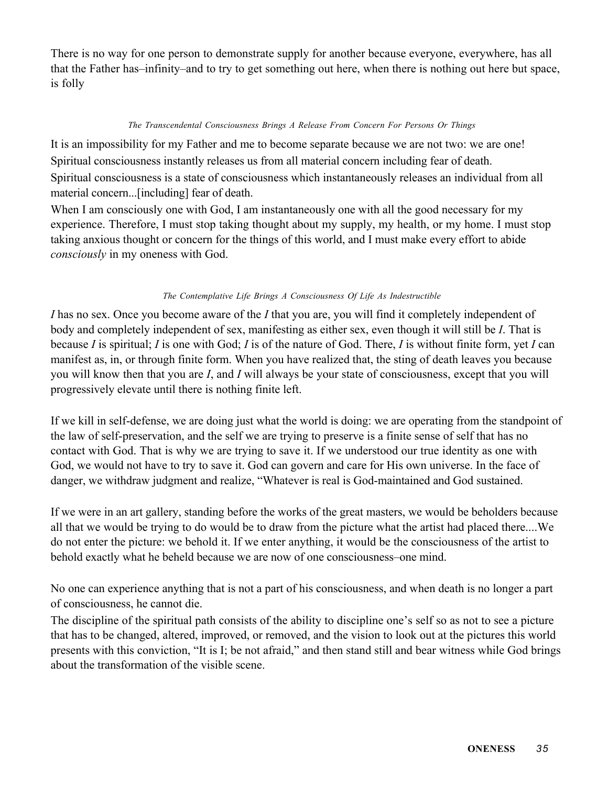There is no way for one person to demonstrate supply for another because everyone, everywhere, has all that the Father has–infinity–and to try to get something out here, when there is nothing out here but space, is folly

#### *The Transcendental Consciousness Brings A Release From Concern For Persons Or Things*

It is an impossibility for my Father and me to become separate because we are not two: we are one! Spiritual consciousness instantly releases us from all material concern including fear of death. Spiritual consciousness is a state of consciousness which instantaneously releases an individual from all material concern...[including] fear of death.

When I am consciously one with God, I am instantaneously one with all the good necessary for my experience. Therefore, I must stop taking thought about my supply, my health, or my home. I must stop taking anxious thought or concern for the things of this world, and I must make every effort to abide *consciously* in my oneness with God.

# *The Contemplative Life Brings A Consciousness Of Life As Indestructible*

*I* has no sex. Once you become aware of the *I* that you are, you will find it completely independent of body and completely independent of sex, manifesting as either sex, even though it will still be *I*. That is because *I* is spiritual; *I* is one with God; *I* is of the nature of God. There, *I* is without finite form, yet *I* can manifest as, in, or through finite form. When you have realized that, the sting of death leaves you because you will know then that you are *I*, and *I* will always be your state of consciousness, except that you will progressively elevate until there is nothing finite left.

If we kill in self-defense, we are doing just what the world is doing: we are operating from the standpoint of the law of self-preservation, and the self we are trying to preserve is a finite sense of self that has no contact with God. That is why we are trying to save it. If we understood our true identity as one with God, we would not have to try to save it. God can govern and care for His own universe. In the face of danger, we withdraw judgment and realize, "Whatever is real is God-maintained and God sustained.

If we were in an art gallery, standing before the works of the great masters, we would be beholders because all that we would be trying to do would be to draw from the picture what the artist had placed there....We do not enter the picture: we behold it. If we enter anything, it would be the consciousness of the artist to behold exactly what he beheld because we are now of one consciousness–one mind.

No one can experience anything that is not a part of his consciousness, and when death is no longer a part of consciousness, he cannot die.

The discipline of the spiritual path consists of the ability to discipline one's self so as not to see a picture that has to be changed, altered, improved, or removed, and the vision to look out at the pictures this world presents with this conviction, "It is I; be not afraid," and then stand still and bear witness while God brings about the transformation of the visible scene.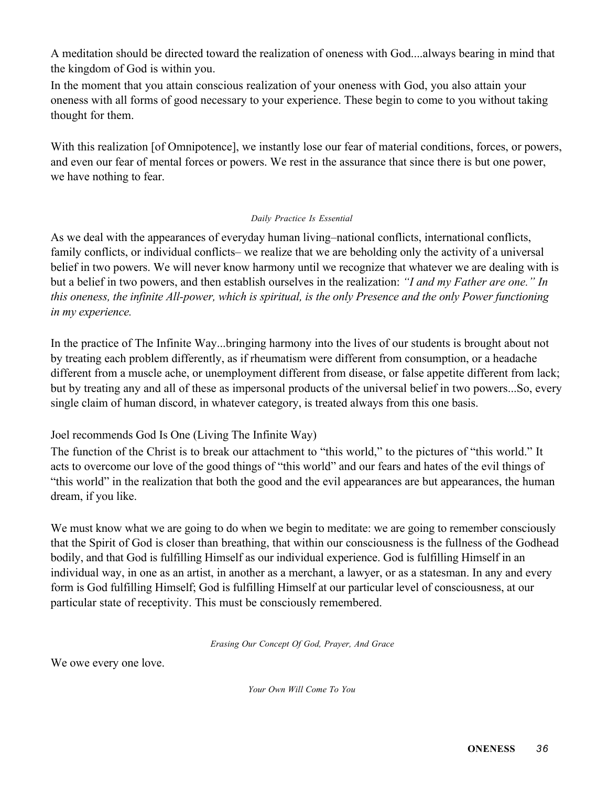A meditation should be directed toward the realization of oneness with God....always bearing in mind that the kingdom of God is within you.

In the moment that you attain conscious realization of your oneness with God, you also attain your oneness with all forms of good necessary to your experience. These begin to come to you without taking thought for them.

With this realization [of Omnipotence], we instantly lose our fear of material conditions, forces, or powers, and even our fear of mental forces or powers. We rest in the assurance that since there is but one power, we have nothing to fear.

# *Daily Practice Is Essential*

As we deal with the appearances of everyday human living–national conflicts, international conflicts, family conflicts, or individual conflicts– we realize that we are beholding only the activity of a universal belief in two powers. We will never know harmony until we recognize that whatever we are dealing with is but a belief in two powers, and then establish ourselves in the realization: *"I and my Father are one." In this oneness, the infinite All-power, which is spiritual, is the only Presence and the only Power functioning in my experience.*

In the practice of The Infinite Way...bringing harmony into the lives of our students is brought about not by treating each problem differently, as if rheumatism were different from consumption, or a headache different from a muscle ache, or unemployment different from disease, or false appetite different from lack; but by treating any and all of these as impersonal products of the universal belief in two powers...So, every single claim of human discord, in whatever category, is treated always from this one basis.

# Joel recommends God Is One (Living The Infinite Way)

The function of the Christ is to break our attachment to "this world," to the pictures of "this world." It acts to overcome our love of the good things of "this world" and our fears and hates of the evil things of "this world" in the realization that both the good and the evil appearances are but appearances, the human dream, if you like.

We must know what we are going to do when we begin to meditate: we are going to remember consciously that the Spirit of God is closer than breathing, that within our consciousness is the fullness of the Godhead bodily, and that God is fulfilling Himself as our individual experience. God is fulfilling Himself in an individual way, in one as an artist, in another as a merchant, a lawyer, or as a statesman. In any and every form is God fulfilling Himself; God is fulfilling Himself at our particular level of consciousness, at our particular state of receptivity. This must be consciously remembered.

*Erasing Our Concept Of God, Prayer, And Grace*

We owe every one love.

*Your Own Will Come To You*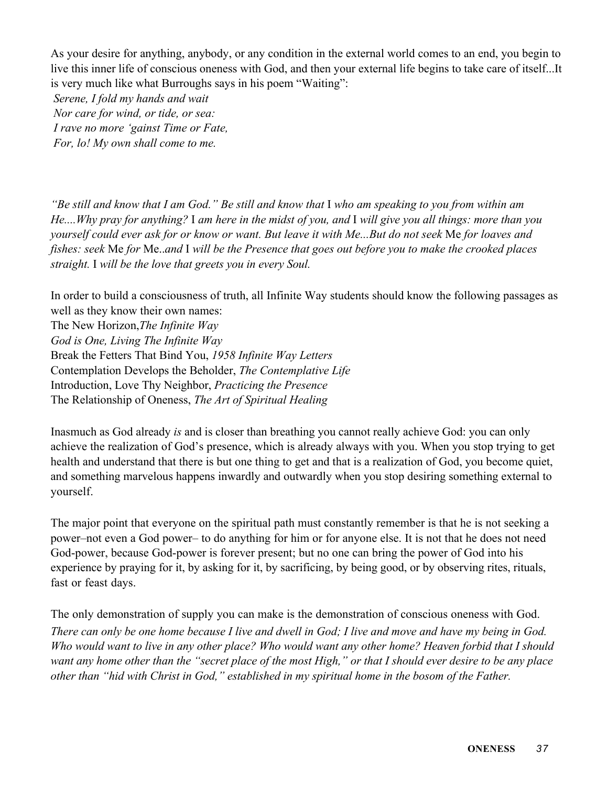As your desire for anything, anybody, or any condition in the external world comes to an end, you begin to live this inner life of conscious oneness with God, and then your external life begins to take care of itself...It is very much like what Burroughs says in his poem "Waiting":

 *Serene, I fold my hands and wait Nor care for wind, or tide, or sea: I rave no more 'gainst Time or Fate, For, lo! My own shall come to me.*

*"Be still and know that I am God." Be still and know that* I *who am speaking to you from within am He....Why pray for anything?* I *am here in the midst of you, and* I *will give you all things: more than you yourself could ever ask for or know or want. But leave it with Me...But do not seek* Me *for loaves and fishes: seek* Me *for* Me..*and* I *will be the Presence that goes out before you to make the crooked places straight.* I *will be the love that greets you in every Soul.*

In order to build a consciousness of truth, all Infinite Way students should know the following passages as well as they know their own names:

The New Horizon,*The Infinite Way God is One, Living The Infinite Way* Break the Fetters That Bind You, *1958 Infinite Way Letters* Contemplation Develops the Beholder, *The Contemplative Life* Introduction, Love Thy Neighbor, *Practicing the Presence* The Relationship of Oneness, *The Art of Spiritual Healing*

Inasmuch as God already *is* and is closer than breathing you cannot really achieve God: you can only achieve the realization of God's presence, which is already always with you. When you stop trying to get health and understand that there is but one thing to get and that is a realization of God, you become quiet, and something marvelous happens inwardly and outwardly when you stop desiring something external to yourself.

The major point that everyone on the spiritual path must constantly remember is that he is not seeking a power–not even a God power– to do anything for him or for anyone else. It is not that he does not need God-power, because God-power is forever present; but no one can bring the power of God into his experience by praying for it, by asking for it, by sacrificing, by being good, or by observing rites, rituals, fast or feast days.

The only demonstration of supply you can make is the demonstration of conscious oneness with God. *There can only be one home because I live and dwell in God; I live and move and have my being in God. Who would want to live in any other place? Who would want any other home? Heaven forbid that I should want any home other than the "secret place of the most High," or that I should ever desire to be any place other than "hid with Christ in God," established in my spiritual home in the bosom of the Father.*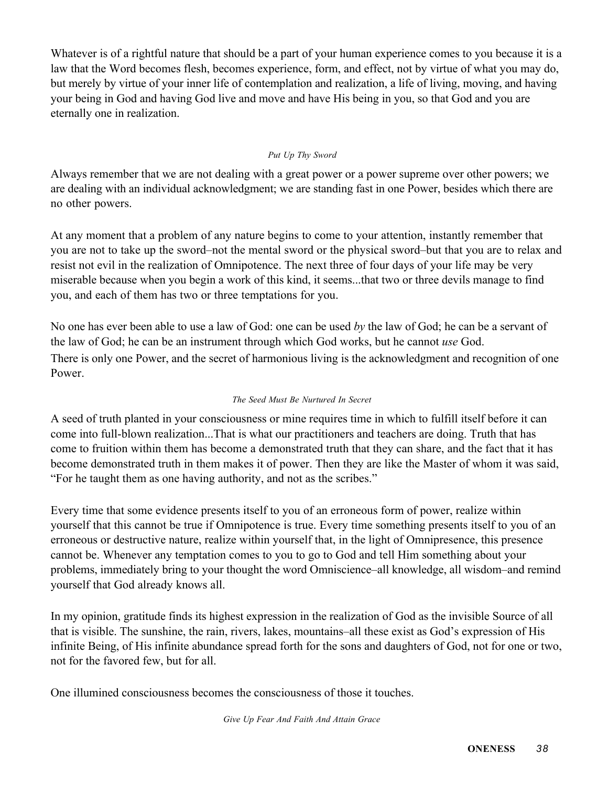Whatever is of a rightful nature that should be a part of your human experience comes to you because it is a law that the Word becomes flesh, becomes experience, form, and effect, not by virtue of what you may do, but merely by virtue of your inner life of contemplation and realization, a life of living, moving, and having your being in God and having God live and move and have His being in you, so that God and you are eternally one in realization.

# *Put Up Thy Sword*

Always remember that we are not dealing with a great power or a power supreme over other powers; we are dealing with an individual acknowledgment; we are standing fast in one Power, besides which there are no other powers.

At any moment that a problem of any nature begins to come to your attention, instantly remember that you are not to take up the sword–not the mental sword or the physical sword–but that you are to relax and resist not evil in the realization of Omnipotence. The next three of four days of your life may be very miserable because when you begin a work of this kind, it seems...that two or three devils manage to find you, and each of them has two or three temptations for you.

No one has ever been able to use a law of God: one can be used *by* the law of God; he can be a servant of the law of God; he can be an instrument through which God works, but he cannot *use* God. There is only one Power, and the secret of harmonious living is the acknowledgment and recognition of one Power.

# *The Seed Must Be Nurtured In Secret*

A seed of truth planted in your consciousness or mine requires time in which to fulfill itself before it can come into full-blown realization...That is what our practitioners and teachers are doing. Truth that has come to fruition within them has become a demonstrated truth that they can share, and the fact that it has become demonstrated truth in them makes it of power. Then they are like the Master of whom it was said, "For he taught them as one having authority, and not as the scribes."

Every time that some evidence presents itself to you of an erroneous form of power, realize within yourself that this cannot be true if Omnipotence is true. Every time something presents itself to you of an erroneous or destructive nature, realize within yourself that, in the light of Omnipresence, this presence cannot be. Whenever any temptation comes to you to go to God and tell Him something about your problems, immediately bring to your thought the word Omniscience–all knowledge, all wisdom–and remind yourself that God already knows all.

In my opinion, gratitude finds its highest expression in the realization of God as the invisible Source of all that is visible. The sunshine, the rain, rivers, lakes, mountains–all these exist as God's expression of His infinite Being, of His infinite abundance spread forth for the sons and daughters of God, not for one or two, not for the favored few, but for all.

One illumined consciousness becomes the consciousness of those it touches.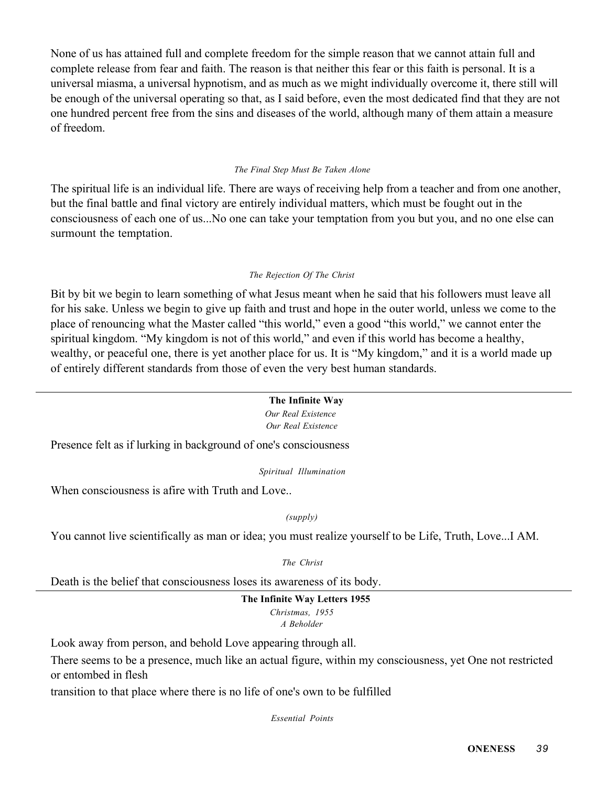None of us has attained full and complete freedom for the simple reason that we cannot attain full and complete release from fear and faith. The reason is that neither this fear or this faith is personal. It is a universal miasma, a universal hypnotism, and as much as we might individually overcome it, there still will be enough of the universal operating so that, as I said before, even the most dedicated find that they are not one hundred percent free from the sins and diseases of the world, although many of them attain a measure of freedom.

#### *The Final Step Must Be Taken Alone*

The spiritual life is an individual life. There are ways of receiving help from a teacher and from one another, but the final battle and final victory are entirely individual matters, which must be fought out in the consciousness of each one of us...No one can take your temptation from you but you, and no one else can surmount the temptation.

### *The Rejection Of The Christ*

Bit by bit we begin to learn something of what Jesus meant when he said that his followers must leave all for his sake. Unless we begin to give up faith and trust and hope in the outer world, unless we come to the place of renouncing what the Master called "this world," even a good "this world," we cannot enter the spiritual kingdom. "My kingdom is not of this world," and even if this world has become a healthy, wealthy, or peaceful one, there is yet another place for us. It is "My kingdom," and it is a world made up of entirely different standards from those of even the very best human standards.

#### The Infinite Way *Our Real Existence*

*Our Real Existence*

Presence felt as if lurking in background of one's consciousness

*Spiritual Illumination*

When consciousness is afire with Truth and Love..

#### *(supply)*

You cannot live scientifically as man or idea; you must realize yourself to be Life, Truth, Love...I AM.

*The Christ*

Death is the belief that consciousness loses its awareness of its body.

#### The Infinite Way Letters 1955 *Christmas, 1955 A Beholder*

Look away from person, and behold Love appearing through all.

There seems to be a presence, much like an actual figure, within my consciousness, yet One not restricted or entombed in flesh

transition to that place where there is no life of one's own to be fulfilled

*Essential Points*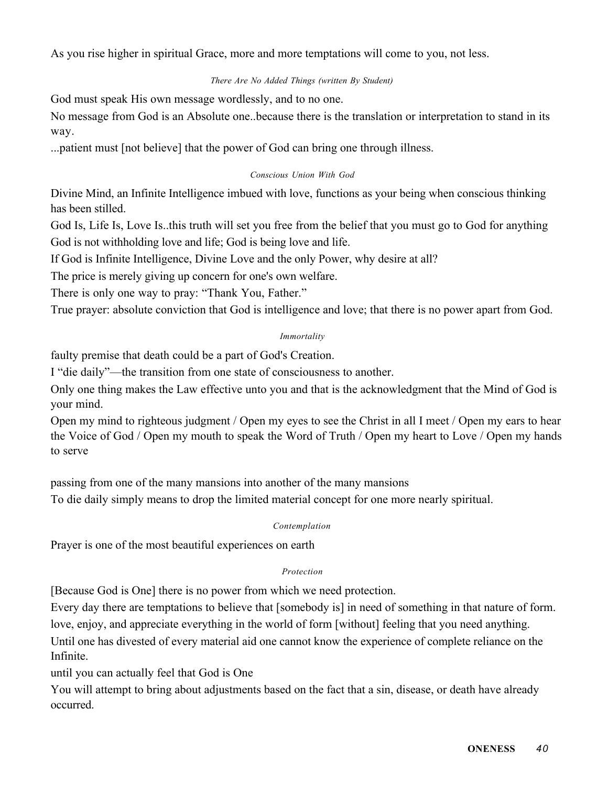As you rise higher in spiritual Grace, more and more temptations will come to you, not less.

# *There Are No Added Things (written By Student)*

God must speak His own message wordlessly, and to no one.

No message from God is an Absolute one..because there is the translation or interpretation to stand in its way.

...patient must [not believe] that the power of God can bring one through illness.

# *Conscious Union With God*

Divine Mind, an Infinite Intelligence imbued with love, functions as your being when conscious thinking has been stilled.

God Is, Life Is, Love Is..this truth will set you free from the belief that you must go to God for anything God is not withholding love and life; God is being love and life.

If God is Infinite Intelligence, Divine Love and the only Power, why desire at all?

The price is merely giving up concern for one's own welfare.

There is only one way to pray: "Thank You, Father."

True prayer: absolute conviction that God is intelligence and love; that there is no power apart from God.

# *Immortality*

faulty premise that death could be a part of God's Creation.

I "die daily"—the transition from one state of consciousness to another.

Only one thing makes the Law effective unto you and that is the acknowledgment that the Mind of God is your mind.

Open my mind to righteous judgment / Open my eyes to see the Christ in all I meet / Open my ears to hear the Voice of God / Open my mouth to speak the Word of Truth / Open my heart to Love / Open my hands to serve

passing from one of the many mansions into another of the many mansions

To die daily simply means to drop the limited material concept for one more nearly spiritual.

# *Contemplation*

Prayer is one of the most beautiful experiences on earth

# *Protection*

[Because God is One] there is no power from which we need protection.

Every day there are temptations to believe that [somebody is] in need of something in that nature of form. love, enjoy, and appreciate everything in the world of form [without] feeling that you need anything. Until one has divested of every material aid one cannot know the experience of complete reliance on the Infinite.

until you can actually feel that God is One

You will attempt to bring about adjustments based on the fact that a sin, disease, or death have already occurred.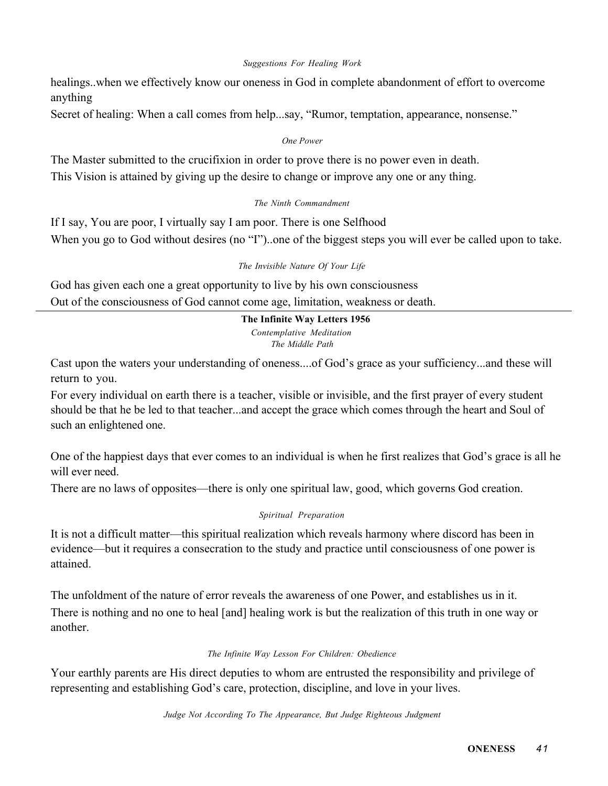#### *Suggestions For Healing Work*

healings..when we effectively know our oneness in God in complete abandonment of effort to overcome anything

Secret of healing: When a call comes from help...say, "Rumor, temptation, appearance, nonsense."

#### *One Power*

The Master submitted to the crucifixion in order to prove there is no power even in death. This Vision is attained by giving up the desire to change or improve any one or any thing.

#### *The Ninth Commandment*

If I say, You are poor, I virtually say I am poor. There is one Selfhood When you go to God without desires (no "I")..one of the biggest steps you will ever be called upon to take.

#### *The Invisible Nature Of Your Life*

God has given each one a great opportunity to live by his own consciousness Out of the consciousness of God cannot come age, limitation, weakness or death.

#### The Infinite Way Letters 1956

*Contemplative Meditation The Middle Path*

Cast upon the waters your understanding of oneness....of God's grace as your sufficiency...and these will return to you.

For every individual on earth there is a teacher, visible or invisible, and the first prayer of every student should be that he be led to that teacher...and accept the grace which comes through the heart and Soul of such an enlightened one.

One of the happiest days that ever comes to an individual is when he first realizes that God's grace is all he will ever need.

There are no laws of opposites—there is only one spiritual law, good, which governs God creation.

#### *Spiritual Preparation*

It is not a difficult matter—this spiritual realization which reveals harmony where discord has been in evidence—but it requires a consecration to the study and practice until consciousness of one power is attained.

The unfoldment of the nature of error reveals the awareness of one Power, and establishes us in it. There is nothing and no one to heal [and] healing work is but the realization of this truth in one way or another.

#### *The Infinite Way Lesson For Children: Obedience*

Your earthly parents are His direct deputies to whom are entrusted the responsibility and privilege of representing and establishing God's care, protection, discipline, and love in your lives.

*Judge Not According To The Appearance, But Judge Righteous Judgment*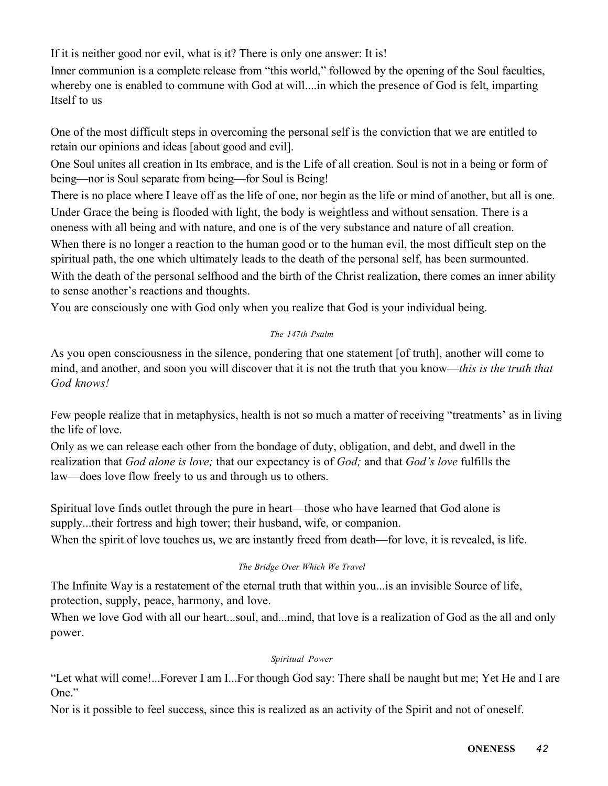If it is neither good nor evil, what is it? There is only one answer: It is!

Inner communion is a complete release from "this world," followed by the opening of the Soul faculties, whereby one is enabled to commune with God at will....in which the presence of God is felt, imparting Itself to us

One of the most difficult steps in overcoming the personal self is the conviction that we are entitled to retain our opinions and ideas [about good and evil].

One Soul unites all creation in Its embrace, and is the Life of all creation. Soul is not in a being or form of being—nor is Soul separate from being—for Soul is Being!

There is no place where I leave off as the life of one, nor begin as the life or mind of another, but all is one. Under Grace the being is flooded with light, the body is weightless and without sensation. There is a oneness with all being and with nature, and one is of the very substance and nature of all creation. When there is no longer a reaction to the human good or to the human evil, the most difficult step on the spiritual path, the one which ultimately leads to the death of the personal self, has been surmounted. With the death of the personal selfhood and the birth of the Christ realization, there comes an inner ability to sense another's reactions and thoughts.

You are consciously one with God only when you realize that God is your individual being.

# *The 147th Psalm*

As you open consciousness in the silence, pondering that one statement [of truth], another will come to mind, and another, and soon you will discover that it is not the truth that you know—*this is the truth that God knows!*

Few people realize that in metaphysics, health is not so much a matter of receiving "treatments' as in living the life of love.

Only as we can release each other from the bondage of duty, obligation, and debt, and dwell in the realization that *God alone is love;* that our expectancy is of *God;* and that *God's love* fulfills the law—does love flow freely to us and through us to others.

Spiritual love finds outlet through the pure in heart—those who have learned that God alone is supply...their fortress and high tower; their husband, wife, or companion. When the spirit of love touches us, we are instantly freed from death—for love, it is revealed, is life.

# *The Bridge Over Which We Travel*

The Infinite Way is a restatement of the eternal truth that within you...is an invisible Source of life, protection, supply, peace, harmony, and love.

When we love God with all our heart...soul, and...mind, that love is a realization of God as the all and only power.

# *Spiritual Power*

"Let what will come!...Forever I am I...For though God say: There shall be naught but me; Yet He and I are One."

Nor is it possible to feel success, since this is realized as an activity of the Spirit and not of oneself.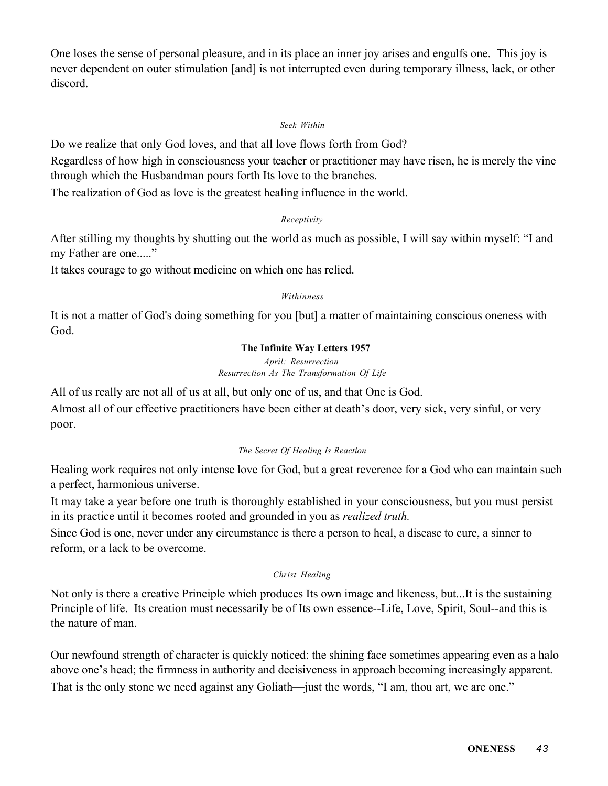One loses the sense of personal pleasure, and in its place an inner joy arises and engulfs one. This joy is never dependent on outer stimulation [and] is not interrupted even during temporary illness, lack, or other discord.

#### *Seek Within*

Do we realize that only God loves, and that all love flows forth from God?

Regardless of how high in consciousness your teacher or practitioner may have risen, he is merely the vine through which the Husbandman pours forth Its love to the branches.

The realization of God as love is the greatest healing influence in the world.

### *Receptivity*

After stilling my thoughts by shutting out the world as much as possible, I will say within myself: "I and my Father are one....."

It takes courage to go without medicine on which one has relied.

### *Withinness*

It is not a matter of God's doing something for you [but] a matter of maintaining conscious oneness with God.

### The Infinite Way Letters 1957

*April: Resurrection Resurrection As The Transformation Of Life*

All of us really are not all of us at all, but only one of us, and that One is God.

Almost all of our effective practitioners have been either at death's door, very sick, very sinful, or very poor.

#### *The Secret Of Healing Is Reaction*

Healing work requires not only intense love for God, but a great reverence for a God who can maintain such a perfect, harmonious universe.

It may take a year before one truth is thoroughly established in your consciousness, but you must persist in its practice until it becomes rooted and grounded in you as *realized truth.*

Since God is one, never under any circumstance is there a person to heal, a disease to cure, a sinner to reform, or a lack to be overcome.

#### *Christ Healing*

Not only is there a creative Principle which produces Its own image and likeness, but...It is the sustaining Principle of life. Its creation must necessarily be of Its own essence--Life, Love, Spirit, Soul--and this is the nature of man.

Our newfound strength of character is quickly noticed: the shining face sometimes appearing even as a halo above one's head; the firmness in authority and decisiveness in approach becoming increasingly apparent. That is the only stone we need against any Goliath—just the words, "I am, thou art, we are one."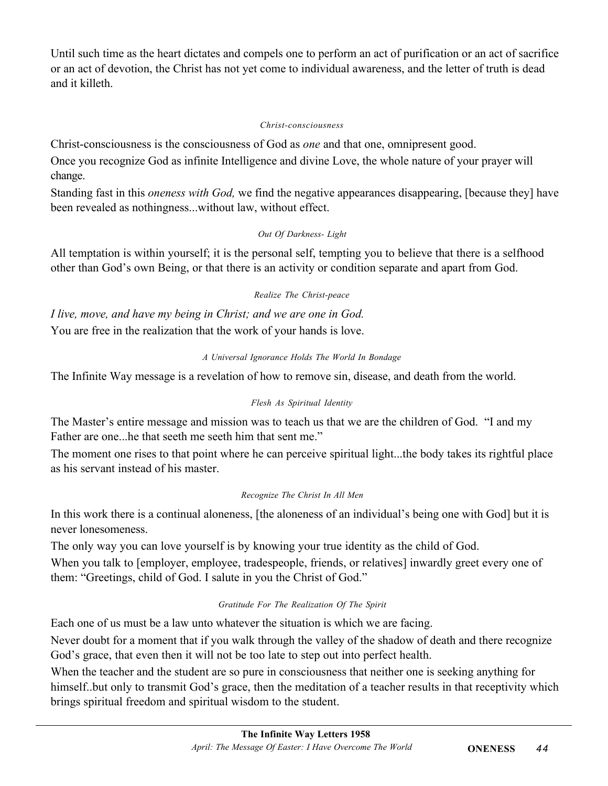Until such time as the heart dictates and compels one to perform an act of purification or an act of sacrifice or an act of devotion, the Christ has not yet come to individual awareness, and the letter of truth is dead and it killeth.

# *Christ-consciousness*

Christ-consciousness is the consciousness of God as *one* and that one, omnipresent good.

Once you recognize God as infinite Intelligence and divine Love, the whole nature of your prayer will change.

Standing fast in this *oneness with God,* we find the negative appearances disappearing, [because they] have been revealed as nothingness...without law, without effect.

# *Out Of Darkness- Light*

All temptation is within yourself; it is the personal self, tempting you to believe that there is a selfhood other than God's own Being, or that there is an activity or condition separate and apart from God.

# *Realize The Christ-peace*

*I live, move, and have my being in Christ; and we are one in God.* You are free in the realization that the work of your hands is love.

# *A Universal Ignorance Holds The World In Bondage*

The Infinite Way message is a revelation of how to remove sin, disease, and death from the world.

# *Flesh As Spiritual Identity*

The Master's entire message and mission was to teach us that we are the children of God. "I and my Father are one...he that seeth me seeth him that sent me."

The moment one rises to that point where he can perceive spiritual light...the body takes its rightful place as his servant instead of his master.

# *Recognize The Christ In All Men*

In this work there is a continual aloneness, [the aloneness of an individual's being one with God] but it is never lonesomeness.

The only way you can love yourself is by knowing your true identity as the child of God.

When you talk to [employer, employee, tradespeople, friends, or relatives] inwardly greet every one of them: "Greetings, child of God. I salute in you the Christ of God."

# *Gratitude For The Realization Of The Spirit*

Each one of us must be a law unto whatever the situation is which we are facing.

Never doubt for a moment that if you walk through the valley of the shadow of death and there recognize God's grace, that even then it will not be too late to step out into perfect health.

When the teacher and the student are so pure in consciousness that neither one is seeking anything for himself..but only to transmit God's grace, then the meditation of a teacher results in that receptivity which brings spiritual freedom and spiritual wisdom to the student.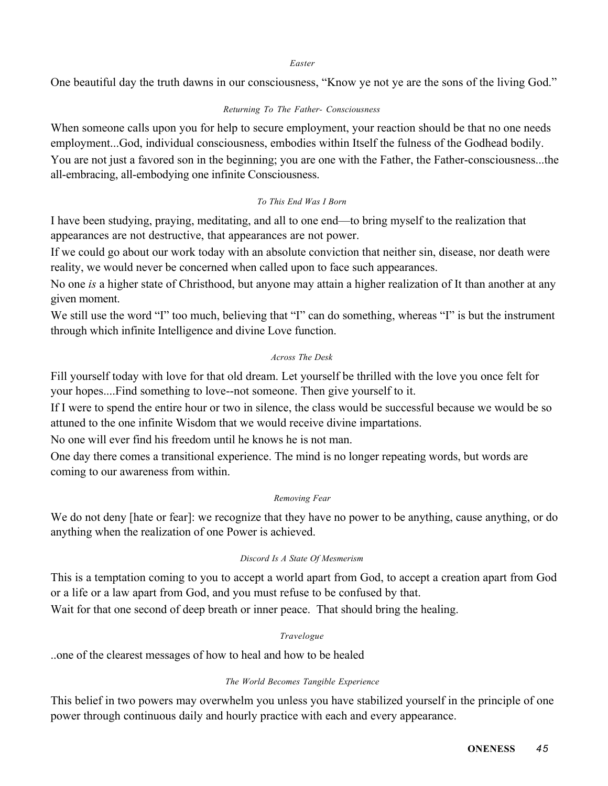#### *Easter*

One beautiful day the truth dawns in our consciousness, "Know ye not ye are the sons of the living God."

### *Returning To The Father- Consciousness*

When someone calls upon you for help to secure employment, your reaction should be that no one needs employment...God, individual consciousness, embodies within Itself the fulness of the Godhead bodily. You are not just a favored son in the beginning; you are one with the Father, the Father-consciousness...the all-embracing, all-embodying one infinite Consciousness.

# *To This End Was I Born*

I have been studying, praying, meditating, and all to one end—to bring myself to the realization that appearances are not destructive, that appearances are not power.

If we could go about our work today with an absolute conviction that neither sin, disease, nor death were reality, we would never be concerned when called upon to face such appearances.

No one *is* a higher state of Christhood, but anyone may attain a higher realization of It than another at any given moment.

We still use the word "I" too much, believing that "I" can do something, whereas "I" is but the instrument through which infinite Intelligence and divine Love function.

### *Across The Desk*

Fill yourself today with love for that old dream. Let yourself be thrilled with the love you once felt for your hopes....Find something to love--not someone. Then give yourself to it.

If I were to spend the entire hour or two in silence, the class would be successful because we would be so attuned to the one infinite Wisdom that we would receive divine impartations.

No one will ever find his freedom until he knows he is not man.

One day there comes a transitional experience. The mind is no longer repeating words, but words are coming to our awareness from within.

#### *Removing Fear*

We do not deny [hate or fear]: we recognize that they have no power to be anything, cause anything, or do anything when the realization of one Power is achieved.

# *Discord Is A State Of Mesmerism*

This is a temptation coming to you to accept a world apart from God, to accept a creation apart from God or a life or a law apart from God, and you must refuse to be confused by that. Wait for that one second of deep breath or inner peace. That should bring the healing.

#### *Travelogue*

..one of the clearest messages of how to heal and how to be healed

#### *The World Becomes Tangible Experience*

This belief in two powers may overwhelm you unless you have stabilized yourself in the principle of one power through continuous daily and hourly practice with each and every appearance.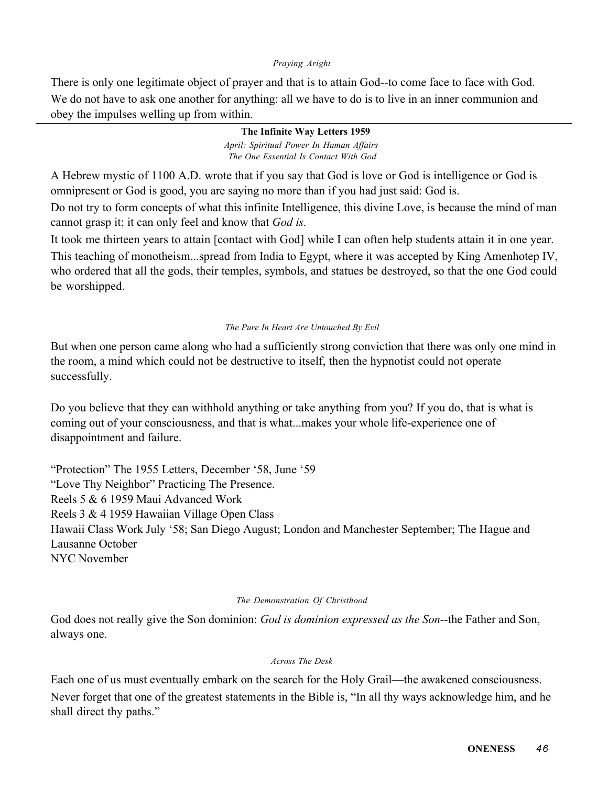*Praying Aright*

There is only one legitimate object of prayer and that is to attain God--to come face to face with God. We do not have to ask one another for anything: all we have to do is to live in an inner communion and obey the impulses welling up from within.

# The Infinite Way Letters 1959

*April: Spiritual Power In Human Affairs The One Essential Is Contact With God*

A Hebrew mystic of 1100 A.D. wrote that if you say that God is love or God is intelligence or God is omnipresent or God is good, you are saying no more than if you had just said: God is.

Do not try to form concepts of what this infinite Intelligence, this divine Love, is because the mind of man cannot grasp it; it can only feel and know that *God is.*

It took me thirteen years to attain [contact with God] while I can often help students attain it in one year. This teaching of monotheism...spread from India to Egypt, where it was accepted by King Amenhotep IV, who ordered that all the gods, their temples, symbols, and statues be destroyed, so that the one God could be worshipped.

# *The Pure In Heart Are Untouched By Evil*

But when one person came along who had a sufficiently strong conviction that there was only one mind in the room, a mind which could not be destructive to itself, then the hypnotist could not operate successfully.

Do you believe that they can withhold anything or take anything from you? If you do, that is what is coming out of your consciousness, and that is what...makes your whole life-experience one of disappointment and failure.

"Protection" The 1955 Letters, December '58, June '59 "Love Thy Neighbor" Practicing The Presence. Reels 5 & 6 1959 Maui Advanced Work Reels 3 & 4 1959 Hawaiian Village Open Class Hawaii Class Work July '58; San Diego August; London and Manchester September; The Hague and Lausanne October NYC November

# *The Demonstration Of Christhood*

God does not really give the Son dominion: *God is dominion expressed as the Son--*the Father and Son, always one.

# *Across The Desk*

Each one of us must eventually embark on the search for the Holy Grail—the awakened consciousness. Never forget that one of the greatest statements in the Bible is, "In all thy ways acknowledge him, and he shall direct thy paths."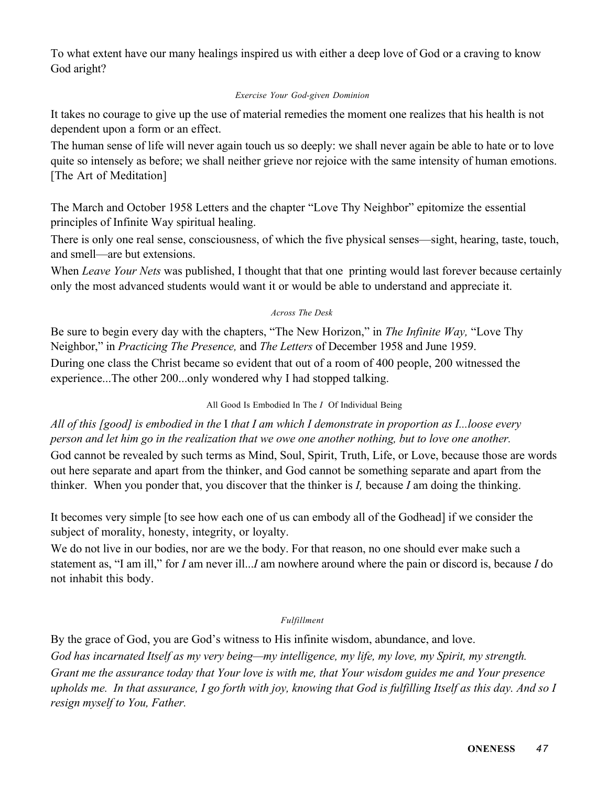To what extent have our many healings inspired us with either a deep love of God or a craving to know God aright?

### *Exercise Your God-given Dominion*

It takes no courage to give up the use of material remedies the moment one realizes that his health is not dependent upon a form or an effect.

The human sense of life will never again touch us so deeply: we shall never again be able to hate or to love quite so intensely as before; we shall neither grieve nor rejoice with the same intensity of human emotions. [The Art of Meditation]

The March and October 1958 Letters and the chapter "Love Thy Neighbor" epitomize the essential principles of Infinite Way spiritual healing.

There is only one real sense, consciousness, of which the five physical senses—sight, hearing, taste, touch, and smell—are but extensions.

When *Leave Your Nets* was published, I thought that that one printing would last forever because certainly only the most advanced students would want it or would be able to understand and appreciate it.

### *Across The Desk*

Be sure to begin every day with the chapters, "The New Horizon," in *The Infinite Way,* "Love Thy Neighbor," in *Practicing The Presence,* and *The Letters* of December 1958 and June 1959. During one class the Christ became so evident that out of a room of 400 people, 200 witnessed the experience...The other 200...only wondered why I had stopped talking.

# All Good Is Embodied In The *I* Of Individual Being

*All of this [good] is embodied in the* I *that I am which I demonstrate in proportion as I...loose every person and let him go in the realization that we owe one another nothing, but to love one another.* God cannot be revealed by such terms as Mind, Soul, Spirit, Truth, Life, or Love, because those are words out here separate and apart from the thinker, and God cannot be something separate and apart from the thinker. When you ponder that, you discover that the thinker is *I,* because *I* am doing the thinking.

It becomes very simple [to see how each one of us can embody all of the Godhead] if we consider the subject of morality, honesty, integrity, or loyalty.

We do not live in our bodies, nor are we the body. For that reason, no one should ever make such a statement as, "I am ill," for *I* am never ill...*I* am nowhere around where the pain or discord is, because *I* do not inhabit this body.

# *Fulfillment*

By the grace of God, you are God's witness to His infinite wisdom, abundance, and love. *God has incarnated Itself as my very being—my intelligence, my life, my love, my Spirit, my strength. Grant me the assurance today that Your love is with me, that Your wisdom guides me and Your presence upholds me. In that assurance, I go forth with joy, knowing that God is fulfilling Itself as this day. And so I resign myself to You, Father.*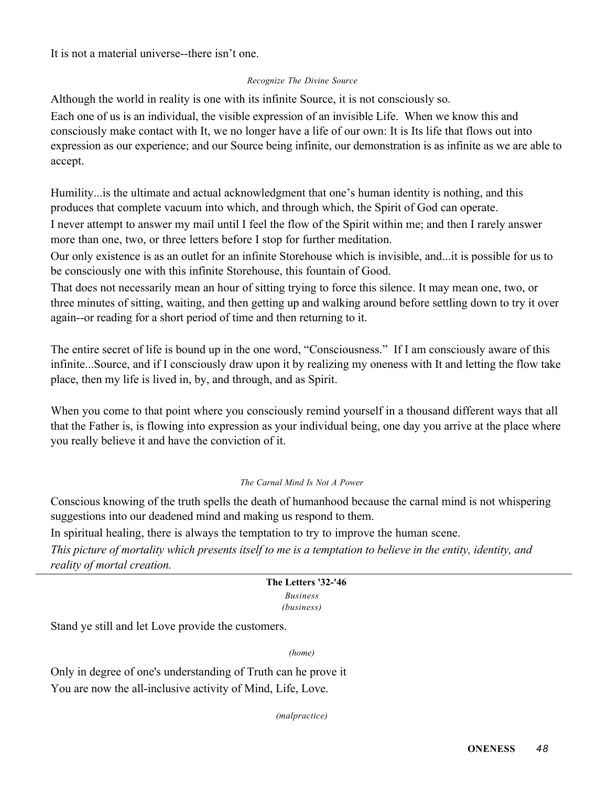It is not a material universe--there isn't one.

### *Recognize The Divine Source*

Although the world in reality is one with its infinite Source, it is not consciously so. Each one of us is an individual, the visible expression of an invisible Life. When we know this and consciously make contact with It, we no longer have a life of our own: It is Its life that flows out into expression as our experience; and our Source being infinite, our demonstration is as infinite as we are able to accept.

Humility...is the ultimate and actual acknowledgment that one's human identity is nothing, and this produces that complete vacuum into which, and through which, the Spirit of God can operate.

I never attempt to answer my mail until I feel the flow of the Spirit within me; and then I rarely answer more than one, two, or three letters before I stop for further meditation.

Our only existence is as an outlet for an infinite Storehouse which is invisible, and...it is possible for us to be consciously one with this infinite Storehouse, this fountain of Good.

That does not necessarily mean an hour of sitting trying to force this silence. It may mean one, two, or three minutes of sitting, waiting, and then getting up and walking around before settling down to try it over again--or reading for a short period of time and then returning to it.

The entire secret of life is bound up in the one word, "Consciousness." If I am consciously aware of this infinite...Source, and if I consciously draw upon it by realizing my oneness with It and letting the flow take place, then my life is lived in, by, and through, and as Spirit.

When you come to that point where you consciously remind yourself in a thousand different ways that all that the Father is, is flowing into expression as your individual being, one day you arrive at the place where you really believe it and have the conviction of it.

# *The Carnal Mind Is Not A Power*

Conscious knowing of the truth spells the death of humanhood because the carnal mind is not whispering suggestions into our deadened mind and making us respond to them.

In spiritual healing, there is always the temptation to try to improve the human scene.

*This picture of mortality which presents itself to me is a temptation to believe in the entity, identity, and reality of mortal creation.*

# The Letters '32-'46

*Business (business)*

Stand ye still and let Love provide the customers.

*(home)*

Only in degree of one's understanding of Truth can he prove it You are now the all-inclusive activity of Mind, Life, Love.

*(malpractice)*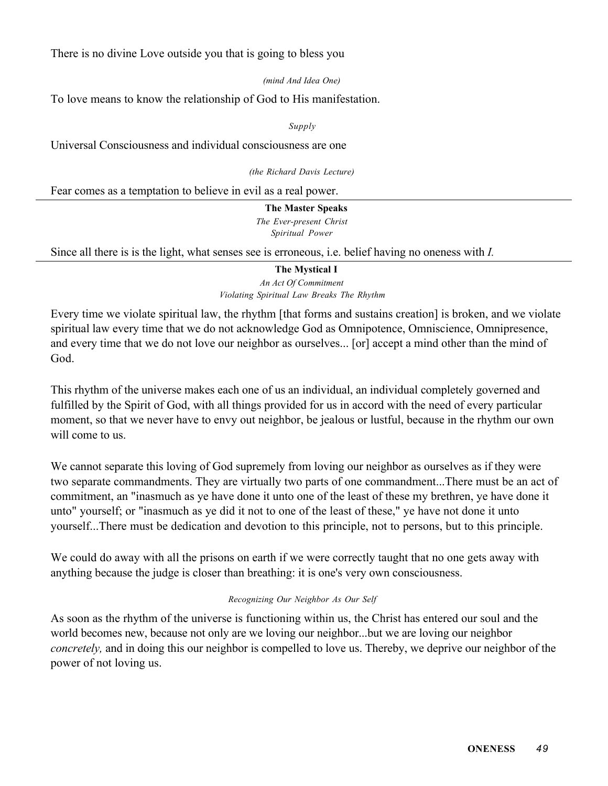There is no divine Love outside you that is going to bless you

*(mind And Idea One)*

To love means to know the relationship of God to His manifestation.

*Supply*

Universal Consciousness and individual consciousness are one

*(the Richard Davis Lecture)*

Fear comes as a temptation to believe in evil as a real power.

The Master Speaks

*The Ever-present Christ Spiritual Power*

Since all there is is the light, what senses see is erroneous, i.e. belief having no oneness with *I.*

### The Mystical I

*An Act Of Commitment Violating Spiritual Law Breaks The Rhythm*

Every time we violate spiritual law, the rhythm [that forms and sustains creation] is broken, and we violate spiritual law every time that we do not acknowledge God as Omnipotence, Omniscience, Omnipresence, and every time that we do not love our neighbor as ourselves... [or] accept a mind other than the mind of God.

This rhythm of the universe makes each one of us an individual, an individual completely governed and fulfilled by the Spirit of God, with all things provided for us in accord with the need of every particular moment, so that we never have to envy out neighbor, be jealous or lustful, because in the rhythm our own will come to us.

We cannot separate this loving of God supremely from loving our neighbor as ourselves as if they were two separate commandments. They are virtually two parts of one commandment...There must be an act of commitment, an "inasmuch as ye have done it unto one of the least of these my brethren, ye have done it unto" yourself; or "inasmuch as ye did it not to one of the least of these," ye have not done it unto yourself...There must be dedication and devotion to this principle, not to persons, but to this principle.

We could do away with all the prisons on earth if we were correctly taught that no one gets away with anything because the judge is closer than breathing: it is one's very own consciousness.

#### *Recognizing Our Neighbor As Our Self*

As soon as the rhythm of the universe is functioning within us, the Christ has entered our soul and the world becomes new, because not only are we loving our neighbor...but we are loving our neighbor *concretely,* and in doing this our neighbor is compelled to love us. Thereby, we deprive our neighbor of the power of not loving us.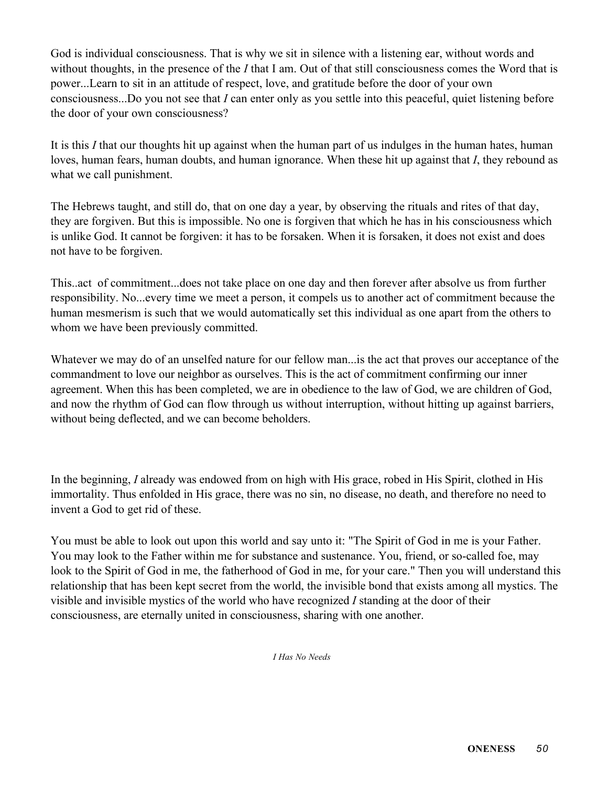God is individual consciousness. That is why we sit in silence with a listening ear, without words and without thoughts, in the presence of the *I* that I am. Out of that still consciousness comes the Word that is power...Learn to sit in an attitude of respect, love, and gratitude before the door of your own consciousness...Do you not see that *I* can enter only as you settle into this peaceful, quiet listening before the door of your own consciousness?

It is this *I* that our thoughts hit up against when the human part of us indulges in the human hates, human loves, human fears, human doubts, and human ignorance. When these hit up against that *I*, they rebound as what we call punishment.

The Hebrews taught, and still do, that on one day a year, by observing the rituals and rites of that day, they are forgiven. But this is impossible. No one is forgiven that which he has in his consciousness which is unlike God. It cannot be forgiven: it has to be forsaken. When it is forsaken, it does not exist and does not have to be forgiven.

This..act of commitment...does not take place on one day and then forever after absolve us from further responsibility. No...every time we meet a person, it compels us to another act of commitment because the human mesmerism is such that we would automatically set this individual as one apart from the others to whom we have been previously committed.

Whatever we may do of an unselfed nature for our fellow man...is the act that proves our acceptance of the commandment to love our neighbor as ourselves. This is the act of commitment confirming our inner agreement. When this has been completed, we are in obedience to the law of God, we are children of God, and now the rhythm of God can flow through us without interruption, without hitting up against barriers, without being deflected, and we can become beholders.

In the beginning, *I* already was endowed from on high with His grace, robed in His Spirit, clothed in His immortality. Thus enfolded in His grace, there was no sin, no disease, no death, and therefore no need to invent a God to get rid of these.

You must be able to look out upon this world and say unto it: "The Spirit of God in me is your Father. You may look to the Father within me for substance and sustenance. You, friend, or so-called foe, may look to the Spirit of God in me, the fatherhood of God in me, for your care." Then you will understand this relationship that has been kept secret from the world, the invisible bond that exists among all mystics. The visible and invisible mystics of the world who have recognized *I* standing at the door of their consciousness, are eternally united in consciousness, sharing with one another.

*I Has No Needs*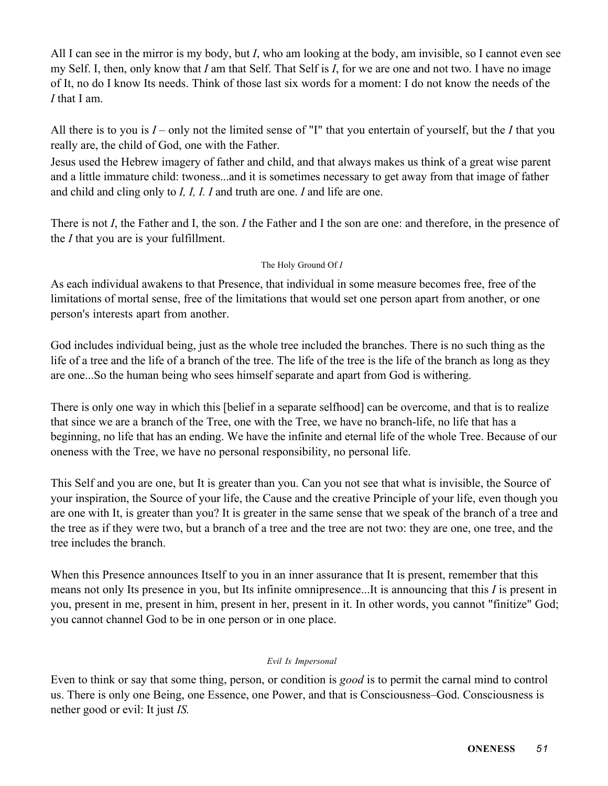All I can see in the mirror is my body, but *I*, who am looking at the body, am invisible, so I cannot even see my Self. I, then, only know that *I* am that Self. That Self is *I*, for we are one and not two. I have no image of It, no do I know Its needs. Think of those last six words for a moment: I do not know the needs of the *I* that I am.

All there is to you is *I* – only not the limited sense of "I" that you entertain of yourself, but the *I* that you really are, the child of God, one with the Father.

Jesus used the Hebrew imagery of father and child, and that always makes us think of a great wise parent and a little immature child: twoness...and it is sometimes necessary to get away from that image of father and child and cling only to *I, I, I. I* and truth are one. *I* and life are one.

There is not *I*, the Father and I, the son. *I* the Father and I the son are one: and therefore, in the presence of the *I* that you are is your fulfillment.

# The Holy Ground Of *I*

As each individual awakens to that Presence, that individual in some measure becomes free, free of the limitations of mortal sense, free of the limitations that would set one person apart from another, or one person's interests apart from another.

God includes individual being, just as the whole tree included the branches. There is no such thing as the life of a tree and the life of a branch of the tree. The life of the tree is the life of the branch as long as they are one...So the human being who sees himself separate and apart from God is withering.

There is only one way in which this [belief in a separate selfhood] can be overcome, and that is to realize that since we are a branch of the Tree, one with the Tree, we have no branch-life, no life that has a beginning, no life that has an ending. We have the infinite and eternal life of the whole Tree. Because of our oneness with the Tree, we have no personal responsibility, no personal life.

This Self and you are one, but It is greater than you. Can you not see that what is invisible, the Source of your inspiration, the Source of your life, the Cause and the creative Principle of your life, even though you are one with It, is greater than you? It is greater in the same sense that we speak of the branch of a tree and the tree as if they were two, but a branch of a tree and the tree are not two: they are one, one tree, and the tree includes the branch.

When this Presence announces Itself to you in an inner assurance that It is present, remember that this means not only Its presence in you, but Its infinite omnipresence...It is announcing that this *I* is present in you, present in me, present in him, present in her, present in it. In other words, you cannot "finitize" God; you cannot channel God to be in one person or in one place.

# *Evil Is Impersonal*

Even to think or say that some thing, person, or condition is *good* is to permit the carnal mind to control us. There is only one Being, one Essence, one Power, and that is Consciousness–God. Consciousness is nether good or evil: It just *IS.*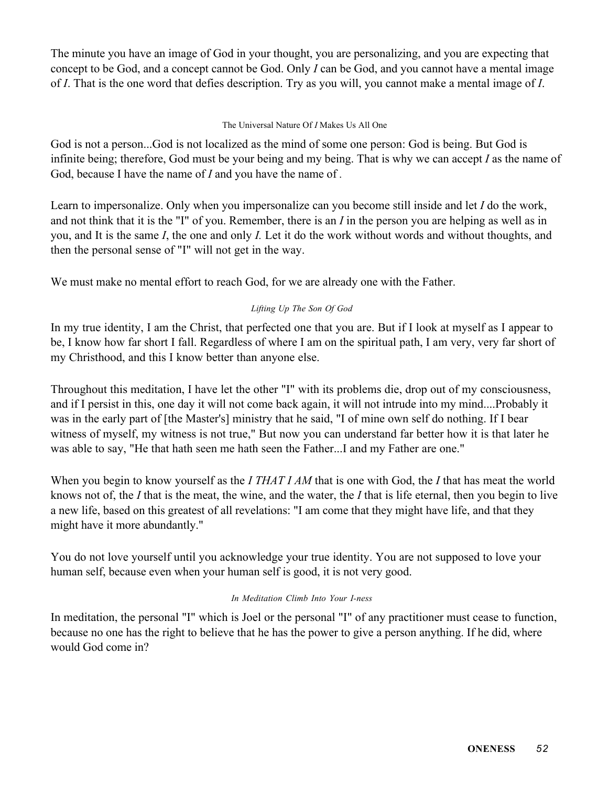The minute you have an image of God in your thought, you are personalizing, and you are expecting that concept to be God, and a concept cannot be God. Only *I* can be God, and you cannot have a mental image of *I*. That is the one word that defies description. Try as you will, you cannot make a mental image of *I*.

#### The Universal Nature Of *I* Makes Us All One

God is not a person...God is not localized as the mind of some one person: God is being. But God is infinite being; therefore, God must be your being and my being. That is why we can accept *I* as the name of God, because I have the name of *I* and you have the name of *.*

Learn to impersonalize. Only when you impersonalize can you become still inside and let *I* do the work, and not think that it is the "I" of you. Remember, there is an *I* in the person you are helping as well as in you, and It is the same *I*, the one and only *I.* Let it do the work without words and without thoughts, and then the personal sense of "I" will not get in the way.

We must make no mental effort to reach God, for we are already one with the Father.

# *Lifting Up The Son Of God*

In my true identity, I am the Christ, that perfected one that you are. But if I look at myself as I appear to be, I know how far short I fall. Regardless of where I am on the spiritual path, I am very, very far short of my Christhood, and this I know better than anyone else.

Throughout this meditation, I have let the other "I" with its problems die, drop out of my consciousness, and if I persist in this, one day it will not come back again, it will not intrude into my mind....Probably it was in the early part of [the Master's] ministry that he said, "I of mine own self do nothing. If I bear witness of myself, my witness is not true," But now you can understand far better how it is that later he was able to say, "He that hath seen me hath seen the Father...I and my Father are one."

When you begin to know yourself as the *I THAT I AM* that is one with God, the *I* that has meat the world knows not of, the *I* that is the meat, the wine, and the water, the *I* that is life eternal, then you begin to live a new life, based on this greatest of all revelations: "I am come that they might have life, and that they might have it more abundantly."

You do not love yourself until you acknowledge your true identity. You are not supposed to love your human self, because even when your human self is good, it is not very good.

#### *In Meditation Climb Into Your I-ness*

In meditation, the personal "I" which is Joel or the personal "I" of any practitioner must cease to function, because no one has the right to believe that he has the power to give a person anything. If he did, where would God come in?